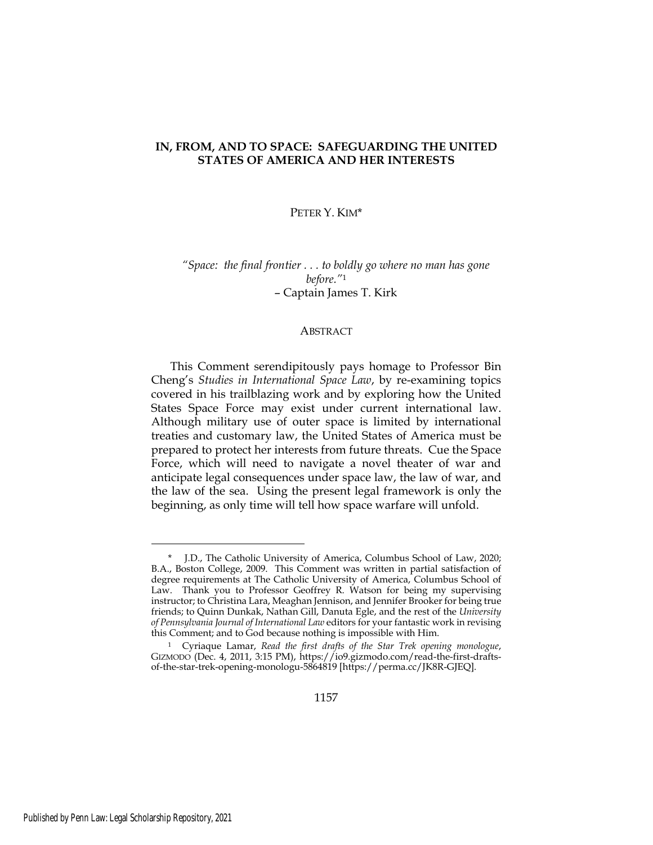# **IN, FROM, AND TO SPACE: SAFEGUARDING THE UNITED STATES OF AMERICA AND HER INTERESTS**

#### PETER Y. KIM\*

*"Space: the final frontier . . . to boldly go where no man has gone before."*<sup>1</sup> – Captain James T. Kirk

#### ABSTRACT

This Comment serendipitously pays homage to Professor Bin Cheng's *Studies in International Space Law*, by re-examining topics covered in his trailblazing work and by exploring how the United States Space Force may exist under current international law. Although military use of outer space is limited by international treaties and customary law, the United States of America must be prepared to protect her interests from future threats. Cue the Space Force, which will need to navigate a novel theater of war and anticipate legal consequences under space law, the law of war, and the law of the sea. Using the present legal framework is only the beginning, as only time will tell how space warfare will unfold.

<sup>\*</sup> J.D., The Catholic University of America, Columbus School of Law, 2020; B.A., Boston College, 2009. This Comment was written in partial satisfaction of degree requirements at The Catholic University of America, Columbus School of Law. Thank you to Professor Geoffrey R. Watson for being my supervising instructor; to Christina Lara, Meaghan Jennison, and Jennifer Brooker for being true friends; to Quinn Dunkak, Nathan Gill, Danuta Egle, and the rest of the *University of Pennsylvania Journal of International Law* editors for your fantastic work in revising this Comment; and to God because nothing is impossible with Him.

<sup>1</sup> Cyriaque Lamar, *Read the first drafts of the Star Trek opening monologue*, GIZMODO (Dec. 4, 2011, 3:15 PM), https://io9.gizmodo.com/read-the-first-draftsof-the-star-trek-opening-monologu-5864819 [https://perma.cc/JK8R-GJEQ].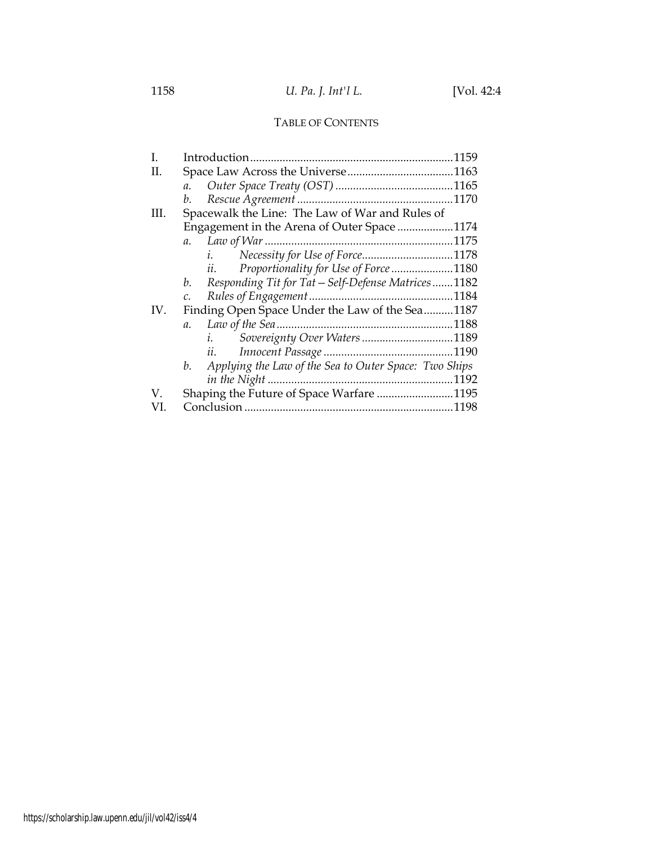# TABLE OF CONTENTS

| L   |                                                             |  |
|-----|-------------------------------------------------------------|--|
| H.  |                                                             |  |
|     | a.                                                          |  |
|     | b.                                                          |  |
| HL. | Spacewalk the Line: The Law of War and Rules of             |  |
|     | Engagement in the Arena of Outer Space1174                  |  |
|     | $a$ .                                                       |  |
|     |                                                             |  |
|     | ii. Proportionality for Use of Force 1180                   |  |
|     | Responding Tit for Tat - Self-Defense Matrices1182<br>b.    |  |
|     |                                                             |  |
| IV. | Finding Open Space Under the Law of the Sea1187             |  |
|     | $a$ .                                                       |  |
|     | Sovereignty Over Waters1189<br>$\overline{i}$ ,             |  |
|     | $\mathfrak{u}$ .                                            |  |
|     | Applying the Law of the Sea to Outer Space: Two Ships<br>b. |  |
|     |                                                             |  |
| V   | Shaping the Future of Space Warfare 1195                    |  |
|     |                                                             |  |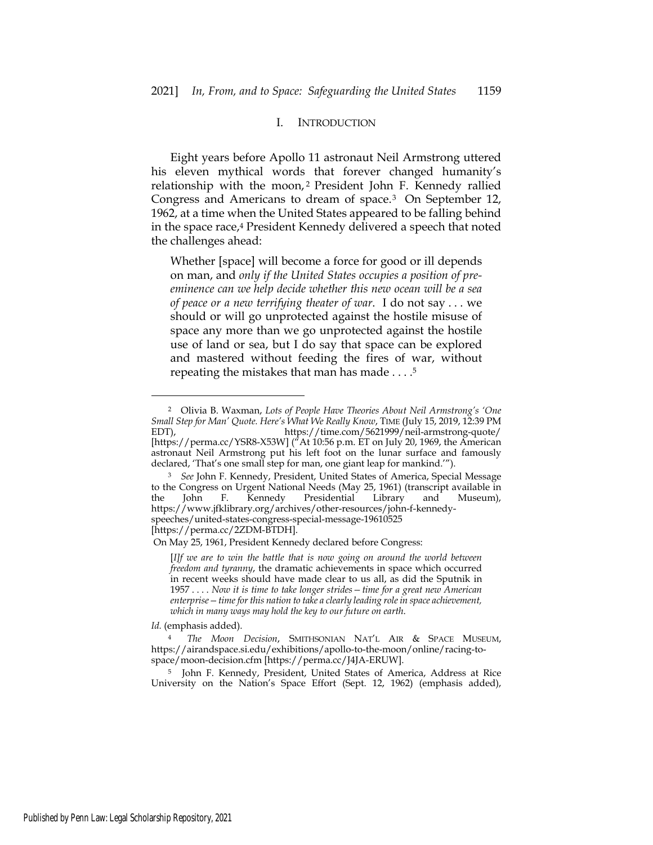#### I. INTRODUCTION

Eight years before Apollo 11 astronaut Neil Armstrong uttered his eleven mythical words that forever changed humanity's relationship with the moon,<sup>2</sup> President John F. Kennedy rallied Congress and Americans to dream of space.3 On September 12, 1962, at a time when the United States appeared to be falling behind in the space race,4 President Kennedy delivered a speech that noted the challenges ahead:

Whether [space] will become a force for good or ill depends on man, and *only if the United States occupies a position of preeminence can we help decide whether this new ocean will be a sea of peace or a new terrifying theater of war*. I do not say . . . we should or will go unprotected against the hostile misuse of space any more than we go unprotected against the hostile use of land or sea, but I do say that space can be explored and mastered without feeding the fires of war, without repeating the mistakes that man has made . . . .5

[https://perma.cc/2ZDM-BTDH].

*Id.* (emphasis added).

<sup>5</sup> John F. Kennedy, President, United States of America, Address at Rice University on the Nation's Space Effort (Sept. 12, 1962) (emphasis added),

<sup>2</sup> Olivia B. Waxman, *Lots of People Have Theories About Neil Armstrong's 'One Small Step for Man' Quote. Here's What We Really Know*, TIME (July 15, 2019, 12:39 PM EDT), https://time.com/5621999/neil-armstrong-quote/ [https://perma.cc/YSR8-X53W] ("At 10:56 p.m. ET on July 20, 1969, the American astronaut Neil Armstrong put his left foot on the lunar surface and famously declared, 'That's one small step for man, one giant leap for mankind.'").

<sup>3</sup> *See* John F. Kennedy, President, United States of America, Special Message to the Congress on Urgent National Needs (May 25, 1961) (transcript available in the John F. Kennedy Presidential Library and Museum), https://www.jfklibrary.org/archives/other-resources/john-f-kennedyspeeches/united-states-congress-special-message-19610525

On May 25, 1961, President Kennedy declared before Congress:

<sup>[</sup>*I]f we are to win the battle that is now going on around the world between freedom and tyranny*, the dramatic achievements in space which occurred in recent weeks should have made clear to us all, as did the Sputnik in 1957 . . . . *Now it is time to take longer strides—time for a great new American enterprise—time for this nation to take a clearly leading role in space achievement, which in many ways may hold the key to our future on earth*.

<sup>4</sup> *The Moon Decision*, SMITHSONIAN NAT'L AIR & SPACE MUSEUM, https://airandspace.si.edu/exhibitions/apollo-to-the-moon/online/racing-tospace/moon-decision.cfm [https://perma.cc/J4JA-ERUW].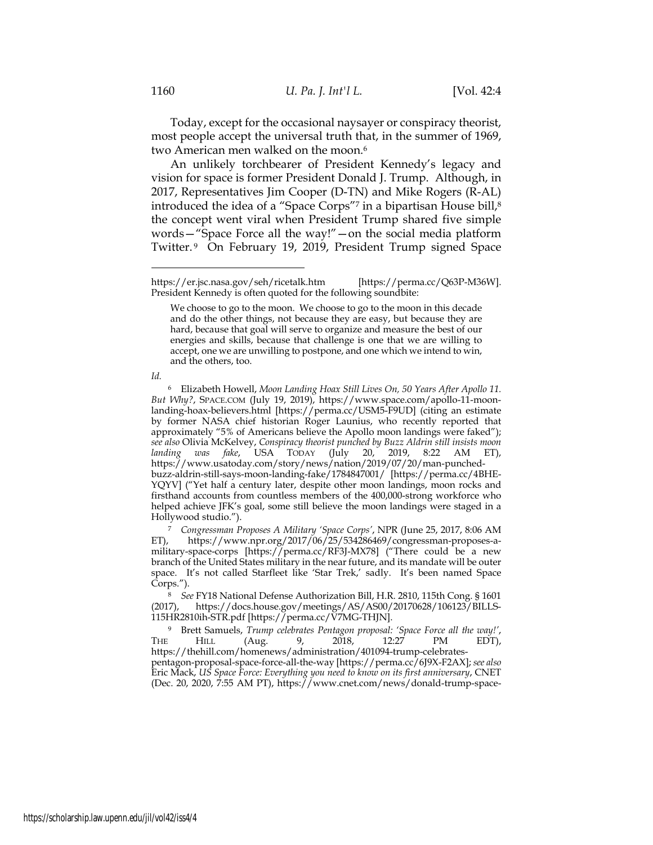Today, except for the occasional naysayer or conspiracy theorist, most people accept the universal truth that, in the summer of 1969, two American men walked on the moon.<sup>6</sup>

An unlikely torchbearer of President Kennedy's legacy and vision for space is former President Donald J. Trump. Although, in 2017, Representatives Jim Cooper (D-TN) and Mike Rogers (R-AL) introduced the idea of a "Space Corps"<sup>7</sup> in a bipartisan House bill,<sup>8</sup> the concept went viral when President Trump shared five simple words—"Space Force all the way!"—on the social media platform Twitter. 9 On February 19, 2019, President Trump signed Space

*Id.*

buzz-aldrin-still-says-moon-landing-fake/1784847001/ [https://perma.cc/4BHE-YQYV] ("Yet half a century later, despite other moon landings, moon rocks and firsthand accounts from countless members of the 400,000-strong workforce who helped achieve JFK's goal, some still believe the moon landings were staged in a Hollywood studio.").

<sup>7</sup> *Congressman Proposes A Military 'Space Corps'*, NPR (June 25, 2017, 8:06 AM ET), https://www.npr.org/2017/06/25/534286469/congressman-proposes-amilitary-space-corps [https://perma.cc/RF3J-MX78] ("There could be a new branch of the United States military in the near future, and its mandate will be outer space. It's not called Starfleet like 'Star Trek,' sadly. It's been named Space Corps.").

<sup>8</sup> *See* FY18 National Defense Authorization Bill, H.R. 2810, 115th Cong. § 1601 (2017), https://docs.house.gov/meetings/AS/AS00/20170628/106123/BILLS-115HR2810ih-STR.pdf [https://perma.cc/V7MG-THJN].

<sup>9</sup> Brett Samuels, *Trump celebrates Pentagon proposal: 'Space Force all the way!'*, THE HILL (Aug. 9, 2018, 12:27 PM EDT), https://thehill.com/homenews/administration/401094-trump-celebratespentagon-proposal-space-force-all-the-way [https://perma.cc/6J9X-F2AX]; *see also* Eric Mack, *US Space Force: Everything you need to know on its first anniversary*, CNET (Dec. 20, 2020, 7:55 AM PT), https://www.cnet.com/news/donald-trump-space-

https://er.jsc.nasa.gov/seh/ricetalk.htm [https://perma.cc/Q63P-M36W]. President Kennedy is often quoted for the following soundbite:

We choose to go to the moon. We choose to go to the moon in this decade and do the other things, not because they are easy, but because they are hard, because that goal will serve to organize and measure the best of our energies and skills, because that challenge is one that we are willing to accept, one we are unwilling to postpone, and one which we intend to win, and the others, too.

<sup>6</sup> Elizabeth Howell, *Moon Landing Hoax Still Lives On, 50 Years After Apollo 11. But Why?*, SPACE.COM (July 19, 2019), https://www.space.com/apollo-11-moonlanding-hoax-believers.html [https://perma.cc/USM5-F9UD] (citing an estimate by former NASA chief historian Roger Launius, who recently reported that approximately "5% of Americans believe the Apollo moon landings were faked"); *see also* Olivia McKelvey, *Conspiracy theorist punched by Buzz Aldrin still insists moon landing was fake*, USA TODAY (July 20, 2019, 8:22 AM ET), https://www.usatoday.com/story/news/nation/2019/07/20/man-punched-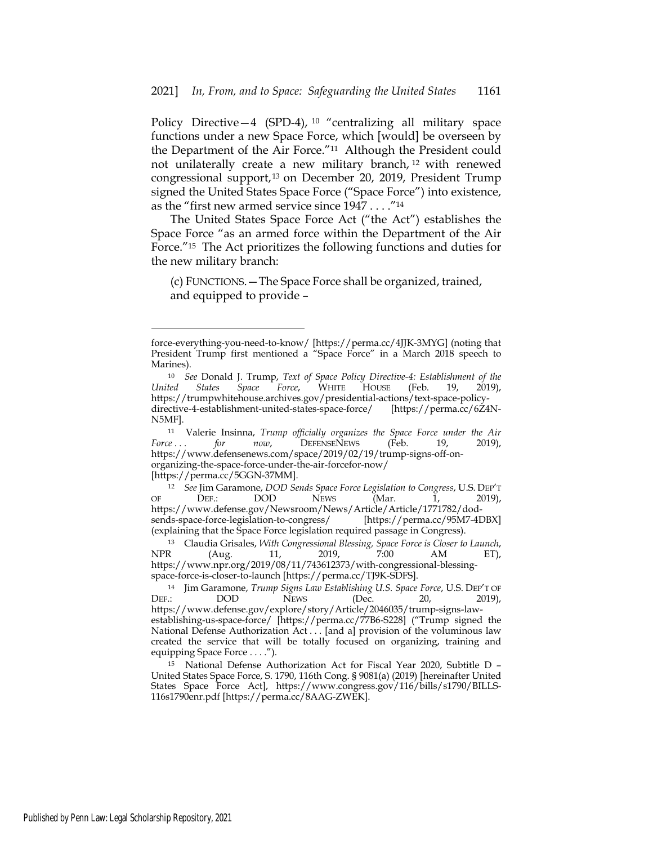Policy Directive  $-4$  (SPD-4), <sup>10</sup> "centralizing all military space functions under a new Space Force, which [would] be overseen by the Department of the Air Force."11 Although the President could not unilaterally create a new military branch, 12 with renewed congressional support,13 on December 20, 2019, President Trump signed the United States Space Force ("Space Force") into existence, as the "first new armed service since 1947 . . . ."14

The United States Space Force Act ("the Act") establishes the Space Force "as an armed force within the Department of the Air Force."15 The Act prioritizes the following functions and duties for the new military branch:

(c) FUNCTIONS.—The Space Force shall be organized, trained, and equipped to provide –

force-everything-you-need-to-know/ [https://perma.cc/4JJK-3MYG] (noting that President Trump first mentioned a "Space Force" in a March 2018 speech to Marines).

<sup>10</sup> *See* Donald J. Trump, *Text of Space Policy Directive-4: Establishment of the United States Space Force*, WHITE HOUSE (Feb. 19, 2019), https://trumpwhitehouse.archives.gov/presidential-actions/text-space-policydirective-4-establishment-united-states-space-force/ [https://perma.cc/6Z4N-N5MF].

<sup>11</sup> Valerie Insinna, *Trump officially organizes the Space Force under the Air*  Force ... for now, DEFENSENEWS (Feb. 19, 2019), https://www.defensenews.com/space/2019/02/19/trump-signs-off-onorganizing-the-space-force-under-the-air-forcefor-now/ [https://perma.cc/5GGN-37MM].

<sup>12</sup> *See* Jim Garamone, *DOD Sends Space Force Legislation to Congress*, U.S. DEP'T OF DEF.: DOD NEWS (Mar. 1, 2019), https://www.defense.gov/Newsroom/News/Article/Article/1771782/dodsends-space-force-legislation-to-congress/ [https://perma.cc/95M7-4DBX] (explaining that the Space Force legislation required passage in Congress).

<sup>13</sup> Claudia Grisales, *With Congressional Blessing, Space Force is Closer to Launch*, NPR (Aug. 11, 2019, 7:00 AM ET), https://www.npr.org/2019/08/11/743612373/with-congressional-blessingspace-force-is-closer-to-launch [https://perma.cc/TJ9K-SDFS].

<sup>14</sup> Jim Garamone, *Trump Signs Law Establishing U.S. Space Force*, U.S. DEP'T OF DEF.: DOD NEWS (Dec. 20, 2019), https://www.defense.gov/explore/story/Article/2046035/trump-signs-lawestablishing-us-space-force/ [https://perma.cc/77B6-S228] ("Trump signed the National Defense Authorization Act . . . [and a] provision of the voluminous law created the service that will be totally focused on organizing, training and equipping Space Force . . . .").

<sup>15</sup> National Defense Authorization Act for Fiscal Year 2020, Subtitle D – United States Space Force, S. 1790, 116th Cong. § 9081(a) (2019) [hereinafter United States Space Force Act], https://www.congress.gov/116/bills/s1790/BILLS-116s1790enr.pdf [https://perma.cc/8AAG-ZWEK].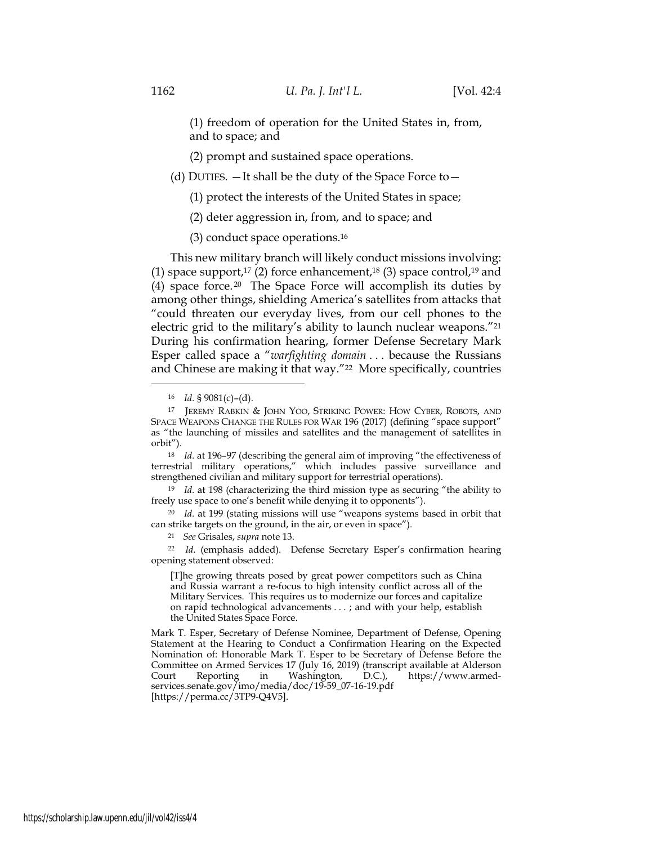(1) freedom of operation for the United States in, from, and to space; and

(2) prompt and sustained space operations.

(d) DUTIES.  $-$  It shall be the duty of the Space Force to  $-$ 

(1) protect the interests of the United States in space;

(2) deter aggression in, from, and to space; and

(3) conduct space operations.16

This new military branch will likely conduct missions involving: (1) space support,<sup>17</sup> (2) force enhancement,<sup>18</sup> (3) space control,<sup>19</sup> and (4) space force.<sup>20</sup> The Space Force will accomplish its duties by among other things, shielding America's satellites from attacks that "could threaten our everyday lives, from our cell phones to the electric grid to the military's ability to launch nuclear weapons."21 During his confirmation hearing, former Defense Secretary Mark Esper called space a "*warfighting domain* . . . because the Russians and Chinese are making it that way."<sup>22</sup> More specifically, countries

<sup>18</sup> *Id.* at 196–97 (describing the general aim of improving "the effectiveness of terrestrial military operations," which includes passive surveillance and strengthened civilian and military support for terrestrial operations).

<sup>19</sup> *Id.* at 198 (characterizing the third mission type as securing "the ability to freely use space to one's benefit while denying it to opponents").

<sup>20</sup> *Id.* at 199 (stating missions will use "weapons systems based in orbit that can strike targets on the ground, in the air, or even in space").

<sup>21</sup> *See* Grisales, *supra* note 13.

<sup>22</sup> *Id.* (emphasis added). Defense Secretary Esper's confirmation hearing opening statement observed:

[T]he growing threats posed by great power competitors such as China and Russia warrant a re-focus to high intensity conflict across all of the Military Services. This requires us to modernize our forces and capitalize on rapid technological advancements . . . ; and with your help, establish the United States Space Force.

Mark T. Esper, Secretary of Defense Nominee, Department of Defense, Opening Statement at the Hearing to Conduct a Confirmation Hearing on the Expected Nomination of: Honorable Mark T. Esper to be Secretary of Defense Before the Committee on Armed Services 17 (July 16, 2019) (transcript available at Alderson Court Reporting in Washington, D.C.), https://www.armed-Court Reporting in Washington, D.C.), https://www.armedservices.senate.gov/imo/media/doc/19-59\_07-16-19.pdf [https://perma.cc/3TP9-Q4V5].

<sup>16</sup> *Id.* § 9081(c)–(d).

<sup>17</sup> JEREMY RABKIN & JOHN YOO, STRIKING POWER: HOW CYBER, ROBOTS, AND SPACE WEAPONS CHANGE THE RULES FOR WAR 196 (2017) (defining "space support" as "the launching of missiles and satellites and the management of satellites in orbit").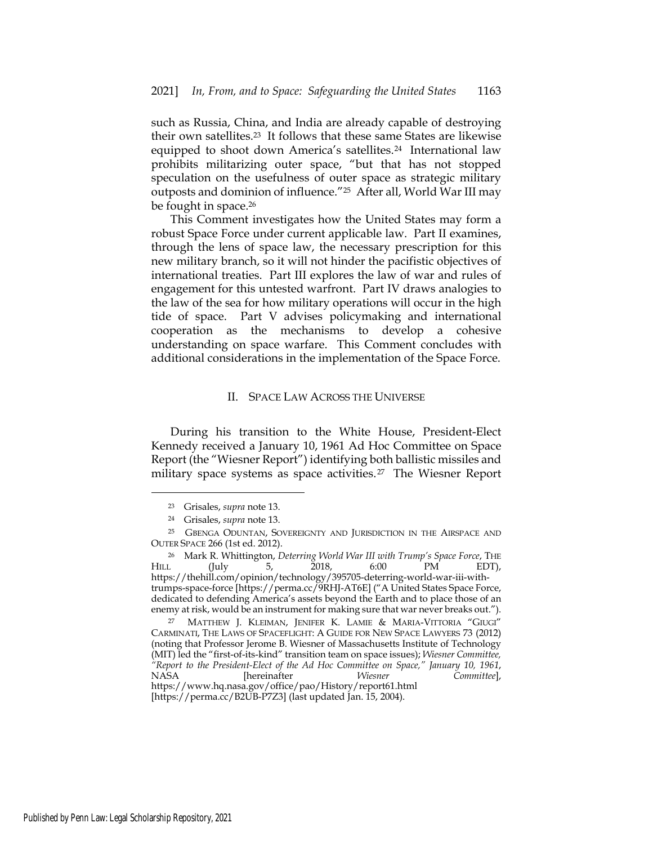such as Russia, China, and India are already capable of destroying their own satellites.23 It follows that these same States are likewise equipped to shoot down America's satellites.<sup>24</sup> International law prohibits militarizing outer space, "but that has not stopped speculation on the usefulness of outer space as strategic military outposts and dominion of influence."25 After all, World War III may be fought in space.26

This Comment investigates how the United States may form a robust Space Force under current applicable law. Part II examines, through the lens of space law, the necessary prescription for this new military branch, so it will not hinder the pacifistic objectives of international treaties. Part III explores the law of war and rules of engagement for this untested warfront. Part IV draws analogies to the law of the sea for how military operations will occur in the high tide of space. Part V advises policymaking and international cooperation as the mechanisms to develop a cohesive understanding on space warfare. This Comment concludes with additional considerations in the implementation of the Space Force.

#### II. SPACE LAW ACROSS THE UNIVERSE

During his transition to the White House, President-Elect Kennedy received a January 10, 1961 Ad Hoc Committee on Space Report (the "Wiesner Report") identifying both ballistic missiles and military space systems as space activities.<sup>27</sup> The Wiesner Report

<sup>23</sup> Grisales, *supra* note 13.

<sup>24</sup> Grisales, *supra* note 13.

<sup>&</sup>lt;sup>25</sup> GBENGA ODUNTAN, SOVEREIGNTY AND JURISDICTION IN THE AIRSPACE AND OUTER SPACE 266 (1st ed. 2012).

<sup>&</sup>lt;sup>26</sup> Mark R. Whittington, *Deterring World War III with Trump's Space Force*, THE 1.<br>1. (July 5. 2018. 6:00 PM EDT). HILL (July 5, 2018, 6:00 PM EDT), https://thehill.com/opinion/technology/395705-deterring-world-war-iii-withtrumps-space-force [https://perma.cc/9RHJ-AT6E] ("A United States Space Force, dedicated to defending America's assets beyond the Earth and to place those of an enemy at risk, would be an instrument for making sure that war never breaks out.").

<sup>27</sup> MATTHEW J. KLEIMAN, JENIFER K. LAMIE & MARIA-VITTORIA "GIUGI" CARMINATI, THE LAWS OF SPACEFLIGHT: A GUIDE FOR NEW SPACE LAWYERS 73 (2012) (noting that Professor Jerome B. Wiesner of Massachusetts Institute of Technology (MIT) led the "first-of-its-kind" transition team on space issues); *Wiesner Committee, "Report to the President-Elect of the Ad Hoc Committee on Space," January 10, 1961*, NASA [hereinafter *Wiesner Committee*], https://www.hq.nasa.gov/office/pao/History/report61.html [https://perma.cc/B2UB-P7Z3] (last updated Jan. 15, 2004).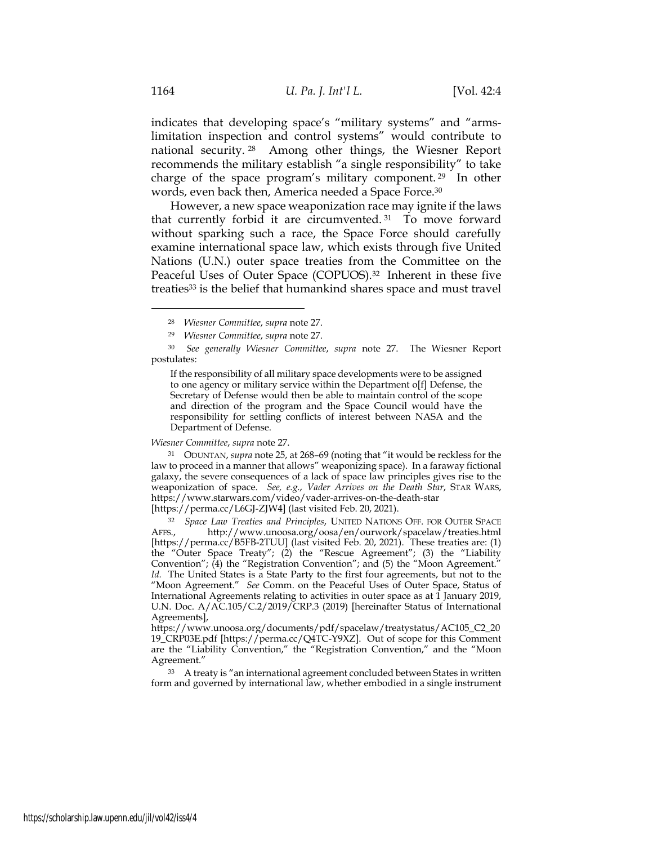indicates that developing space's "military systems" and "armslimitation inspection and control systems" would contribute to national security. 28 Among other things, the Wiesner Report recommends the military establish "a single responsibility" to take charge of the space program's military component. 29 In other words, even back then, America needed a Space Force.30

However, a new space weaponization race may ignite if the laws that currently forbid it are circumvented. 31 To move forward without sparking such a race, the Space Force should carefully examine international space law, which exists through five United Nations (U.N.) outer space treaties from the Committee on the Peaceful Uses of Outer Space (COPUOS).<sup>32</sup> Inherent in these five treaties<sup>33</sup> is the belief that humankind shares space and must travel

#### *Wiesner Committee*, *supra* note 27.

<sup>31</sup> ODUNTAN, *supra* note 25, at 268–69 (noting that "it would be reckless for the law to proceed in a manner that allows" weaponizing space). In a faraway fictional galaxy, the severe consequences of a lack of space law principles gives rise to the weaponization of space. *See, e.g.*, *Vader Arrives on the Death Star*, STAR WARS, https://www.starwars.com/video/vader-arrives-on-the-death-star

[https://perma.cc/L6GJ-ZJW4] (last visited Feb. 20, 2021).

<sup>32</sup> *Space Law Treaties and Principles*, UNITED NATIONS OFF. FOR OUTER SPACE AFFS., http://www.unoosa.org/oosa/en/ourwork/spacelaw/treaties.html [https://perma.cc/B5FB-2TUU] (last visited Feb. 20, 2021). These treaties are: (1) the "Outer Space Treaty"; (2) the "Rescue Agreement"; (3) the "Liability Convention"; (4) the "Registration Convention"; and (5) the "Moon Agreement." *Id.* The United States is a State Party to the first four agreements, but not to the "Moon Agreement." *See* Comm. on the Peaceful Uses of Outer Space, Status of International Agreements relating to activities in outer space as at 1 January 2019, U.N. Doc. A/AC.105/C.2/2019/CRP.3 (2019) [hereinafter Status of International Agreements],

https://www.unoosa.org/documents/pdf/spacelaw/treatystatus/AC105\_C2\_20 19\_CRP03E.pdf [https://perma.cc/Q4TC-Y9XZ]. Out of scope for this Comment are the "Liability Convention," the "Registration Convention," and the "Moon Agreement."

<sup>33</sup> A treaty is "an international agreement concluded between States in written form and governed by international law, whether embodied in a single instrument

<sup>28</sup> *Wiesner Committee*, *supra* note 27.

<sup>29</sup> *Wiesner Committee*, *supra* note 27.

<sup>30</sup> *See generally Wiesner Committee*, *supra* note 27. The Wiesner Report postulates:

If the responsibility of all military space developments were to be assigned to one agency or military service within the Department o[f] Defense, the Secretary of Defense would then be able to maintain control of the scope and direction of the program and the Space Council would have the responsibility for settling conflicts of interest between NASA and the Department of Defense.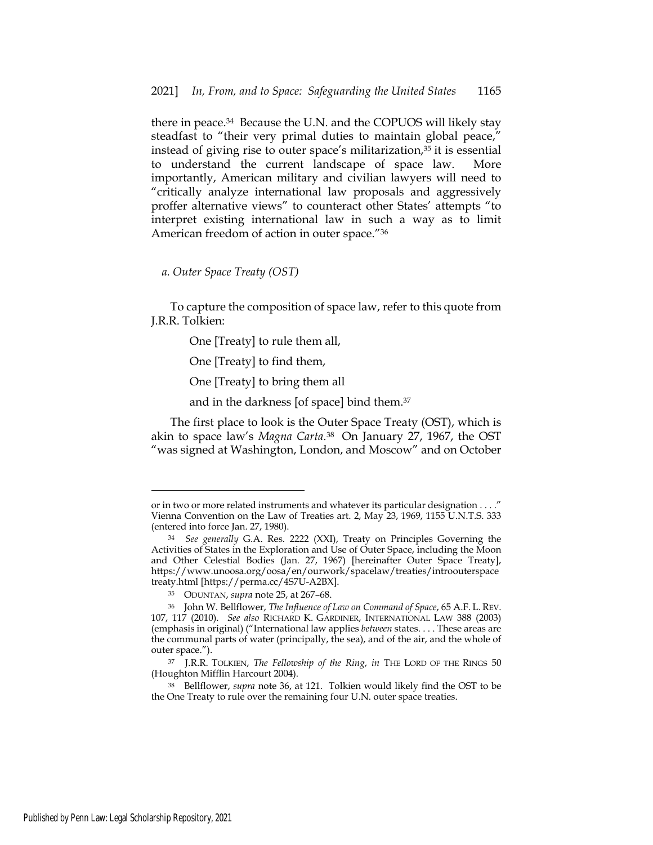there in peace.34 Because the U.N. and the COPUOS will likely stay steadfast to "their very primal duties to maintain global peace," instead of giving rise to outer space's militarization,<sup>35</sup> it is essential to understand the current landscape of space law. More importantly, American military and civilian lawyers will need to "critically analyze international law proposals and aggressively proffer alternative views" to counteract other States' attempts "to interpret existing international law in such a way as to limit American freedom of action in outer space."36

*a. Outer Space Treaty (OST)* 

To capture the composition of space law, refer to this quote from J.R.R. Tolkien:

One [Treaty] to rule them all,

One [Treaty] to find them,

One [Treaty] to bring them all

and in the darkness [of space] bind them.37

The first place to look is the Outer Space Treaty (OST), which is akin to space law's *Magna Carta*.38 On January 27, 1967, the OST "was signed at Washington, London, and Moscow" and on October

or in two or more related instruments and whatever its particular designation . . . ." Vienna Convention on the Law of Treaties art. 2, May 23, 1969, 1155 U.N.T.S. 333 (entered into force Jan. 27, 1980).

<sup>34</sup> *See generally* G.A. Res. 2222 (XXI), Treaty on Principles Governing the Activities of States in the Exploration and Use of Outer Space, including the Moon and Other Celestial Bodies (Jan. 27, 1967) [hereinafter Outer Space Treaty], https://www.unoosa.org/oosa/en/ourwork/spacelaw/treaties/introouterspace treaty.html [https://perma.cc/4S7U-A2BX].

<sup>35</sup> ODUNTAN, *supra* note 25, at 267–68.

<sup>36</sup> John W. Bellflower, *The Influence of Law on Command of Space*, 65 A.F. L. REV. 107, 117 (2010). *See also* RICHARD K. GARDINER, INTERNATIONAL LAW 388 (2003) (emphasis in original) ("International law applies *between* states. . . . These areas are the communal parts of water (principally, the sea), and of the air, and the whole of outer space.").

<sup>37</sup> J.R.R. TOLKIEN, *The Fellowship of the Ring*, *in* THE LORD OF THE RINGS 50 (Houghton Mifflin Harcourt 2004).

<sup>38</sup> Bellflower, *supra* note 36, at 121. Tolkien would likely find the OST to be the One Treaty to rule over the remaining four U.N. outer space treaties.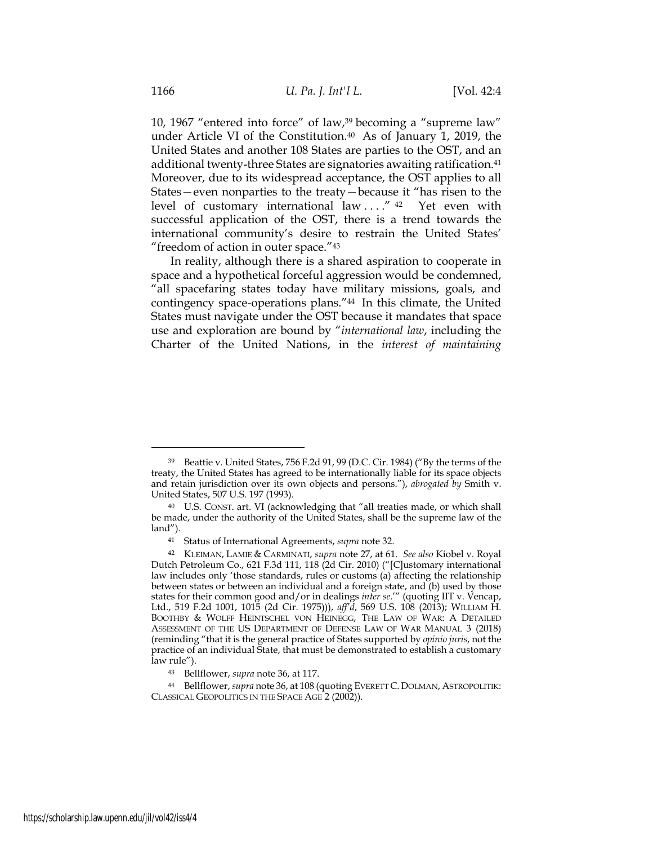10, 1967 "entered into force" of law,39 becoming a "supreme law" under Article VI of the Constitution.40 As of January 1, 2019, the United States and another 108 States are parties to the OST, and an additional twenty-three States are signatories awaiting ratification.41 Moreover, due to its widespread acceptance, the OST applies to all States—even nonparties to the treaty—because it "has risen to the level of customary international law ...."<sup>42</sup> Yet even with successful application of the OST, there is a trend towards the international community's desire to restrain the United States' "freedom of action in outer space."43

In reality, although there is a shared aspiration to cooperate in space and a hypothetical forceful aggression would be condemned, "all spacefaring states today have military missions, goals, and contingency space-operations plans."44 In this climate, the United States must navigate under the OST because it mandates that space use and exploration are bound by "*international law*, including the Charter of the United Nations, in the *interest of maintaining* 

<sup>39</sup> Beattie v. United States, 756 F.2d 91, 99 (D.C. Cir. 1984) ("By the terms of the treaty, the United States has agreed to be internationally liable for its space objects and retain jurisdiction over its own objects and persons."), *abrogated by* Smith v. United States, 507 U.S. 197 (1993).

<sup>40</sup> U.S. CONST. art. VI (acknowledging that "all treaties made, or which shall be made, under the authority of the United States, shall be the supreme law of the land").

<sup>41</sup> Status of International Agreements, *supra* note 32.

<sup>42</sup> KLEIMAN, LAMIE & CARMINATI, *supra* note 27, at 61. *See also* Kiobel v. Royal Dutch Petroleum Co., 621 F.3d 111, 118 (2d Cir. 2010) ("[C]ustomary international law includes only 'those standards, rules or customs (a) affecting the relationship between states or between an individual and a foreign state, and (b) used by those states for their common good and/or in dealings *inter se*.'" (quoting IIT v. Vencap, Ltd., 519 F.2d 1001, 1015 (2d Cir. 1975))), *aff'd*, 569 U.S. 108 (2013); WILLIAM H. BOOTHBY & WOLFF HEINTSCHEL VON HEINEGG, THE LAW OF WAR: A DETAILED ASSESSMENT OF THE US DEPARTMENT OF DEFENSE LAW OF WAR MANUAL 3 (2018) (reminding "that it is the general practice of States supported by *opinio juris*, not the practice of an individual State, that must be demonstrated to establish a customary law rule").

<sup>43</sup> Bellflower, *supra* note 36, at 117.

<sup>44</sup> Bellflower, *supra* note 36, at 108 (quoting EVERETT C.DOLMAN, ASTROPOLITIK: CLASSICAL GEOPOLITICS IN THE SPACE AGE 2 (2002)).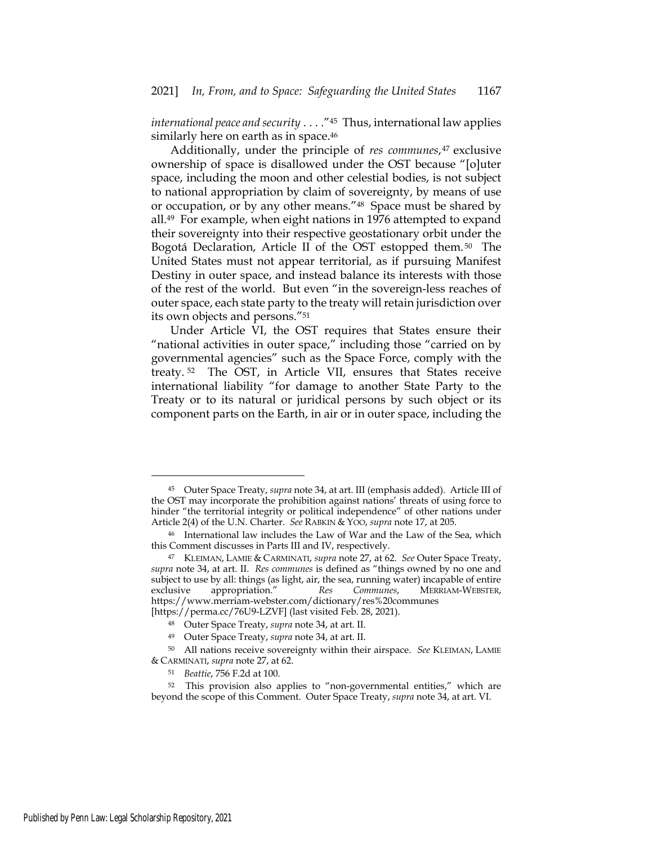*international peace and security* . . . ."45 Thus, international law applies similarly here on earth as in space.<sup>46</sup>

Additionally, under the principle of *res communes*,47 exclusive ownership of space is disallowed under the OST because "[o]uter space, including the moon and other celestial bodies, is not subject to national appropriation by claim of sovereignty, by means of use or occupation, or by any other means."48 Space must be shared by all.49 For example, when eight nations in 1976 attempted to expand their sovereignty into their respective geostationary orbit under the Bogotá Declaration, Article II of the OST estopped them.<sup>50</sup> The United States must not appear territorial, as if pursuing Manifest Destiny in outer space, and instead balance its interests with those of the rest of the world. But even "in the sovereign-less reaches of outer space, each state party to the treaty will retain jurisdiction over its own objects and persons."51

Under Article VI, the OST requires that States ensure their "national activities in outer space," including those "carried on by governmental agencies" such as the Space Force, comply with the treaty. 52 The OST, in Article VII, ensures that States receive international liability "for damage to another State Party to the Treaty or to its natural or juridical persons by such object or its component parts on the Earth, in air or in outer space, including the

<sup>45</sup> Outer Space Treaty, *supra* note 34, at art. III (emphasis added). Article III of the OST may incorporate the prohibition against nations' threats of using force to hinder "the territorial integrity or political independence" of other nations under Article 2(4) of the U.N. Charter. *See* RABKIN & Yoo, *supra* note 17, at 205.

<sup>46</sup> International law includes the Law of War and the Law of the Sea, which this Comment discusses in Parts III and IV, respectively.

<sup>47</sup> KLEIMAN, LAMIE & CARMINATI, *supra* note 27, at 62. *See* Outer Space Treaty, *supra* note 34, at art. II. *Res communes* is defined as "things owned by no one and subject to use by all: things (as light, air, the sea, running water) incapable of entire exclusive appropriation." Res Communes, MERRIAM-WEBSTER, exclusive appropriation." *Res Communes*, MERRIAM-WEBSTER, https://www.merriam-webster.com/dictionary/res%20communes [https://perma.cc/76U9-LZVF] (last visited Feb. 28, 2021).

<sup>48</sup> Outer Space Treaty, *supra* note 34, at art. II.

<sup>49</sup> Outer Space Treaty, *supra* note 34, at art. II.

<sup>50</sup> All nations receive sovereignty within their airspace. *See* KLEIMAN, LAMIE & CARMINATI, *supra* note 27, at 62.

<sup>51</sup> *Beattie*, 756 F.2d at 100.

<sup>52</sup> This provision also applies to "non-governmental entities," which are beyond the scope of this Comment. Outer Space Treaty, *supra* note 34, at art. VI.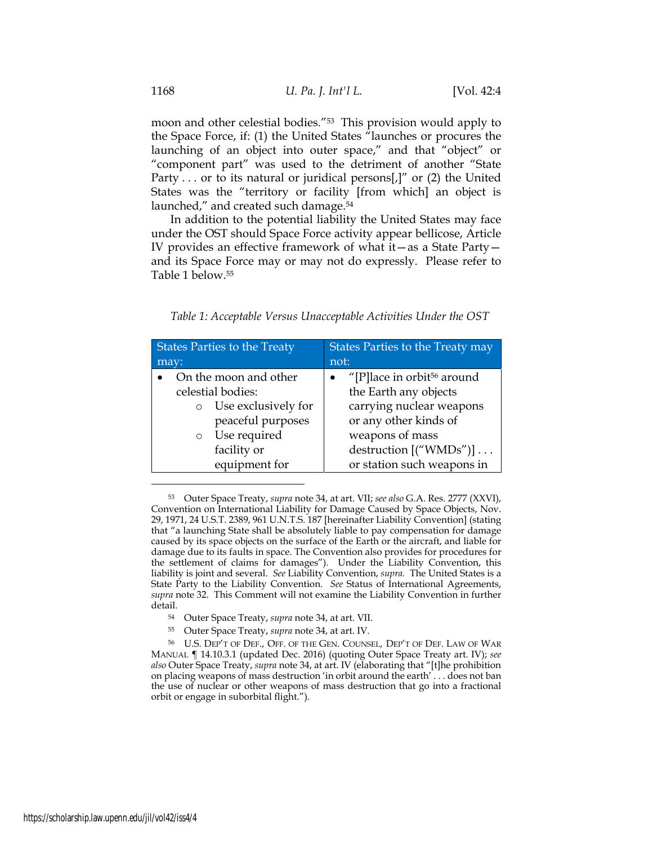moon and other celestial bodies."53 This provision would apply to the Space Force, if: (1) the United States "launches or procures the launching of an object into outer space," and that "object" or "component part" was used to the detriment of another "State Party . . . or to its natural or juridical persons[,]" or (2) the United States was the "territory or facility [from which] an object is launched," and created such damage.<sup>54</sup>

In addition to the potential liability the United States may face under the OST should Space Force activity appear bellicose, Article IV provides an effective framework of what it—as a State Party and its Space Force may or may not do expressly. Please refer to Table 1 below.55

| Table 1: Acceptable Versus Unacceptable Activities Under the OST |  |
|------------------------------------------------------------------|--|
|------------------------------------------------------------------|--|

| <b>States Parties to the Treaty</b> | States Parties to the Treaty may       |  |  |
|-------------------------------------|----------------------------------------|--|--|
| may:                                | not:                                   |  |  |
| On the moon and other               | "[P]lace in orbit <sup>56</sup> around |  |  |
| celestial bodies:                   | the Earth any objects                  |  |  |
| Use exclusively for<br>$\circ$      | carrying nuclear weapons               |  |  |
| peaceful purposes                   | or any other kinds of                  |  |  |
| Use required<br>$\circ$             | weapons of mass                        |  |  |
| facility or                         | destruction [("WMDs")]                 |  |  |
| equipment for                       | or station such weapons in             |  |  |

<sup>53</sup> Outer Space Treaty, *supra* note 34, at art. VII; *see also* G.A. Res. 2777 (XXVI), Convention on International Liability for Damage Caused by Space Objects, Nov. 29, 1971, 24 U.S.T. 2389, 961 U.N.T.S. 187 [hereinafter Liability Convention] (stating that "a launching State shall be absolutely liable to pay compensation for damage caused by its space objects on the surface of the Earth or the aircraft, and liable for damage due to its faults in space. The Convention also provides for procedures for the settlement of claims for damages"). Under the Liability Convention, this liability is joint and several. *See* Liability Convention, *supra.* The United States is a State Party to the Liability Convention. *See* Status of International Agreements, *supra* note 32. This Comment will not examine the Liability Convention in further detail.

- <sup>54</sup> Outer Space Treaty, *supra* note 34, at art. VII.
- <sup>55</sup> Outer Space Treaty, *supra* note 34, at art. IV.

<sup>56</sup> U.S. DEP'T OF DEF., OFF. OF THE GEN. COUNSEL, DEP'T OF DEF. LAW OF WAR MANUAL ¶ 14.10.3.1 (updated Dec. 2016) (quoting Outer Space Treaty art. IV); *see also* Outer Space Treaty, *supra* note 34, at art. IV (elaborating that "[t]he prohibition on placing weapons of mass destruction 'in orbit around the earth' . . . does not ban the use of nuclear or other weapons of mass destruction that go into a fractional orbit or engage in suborbital flight.").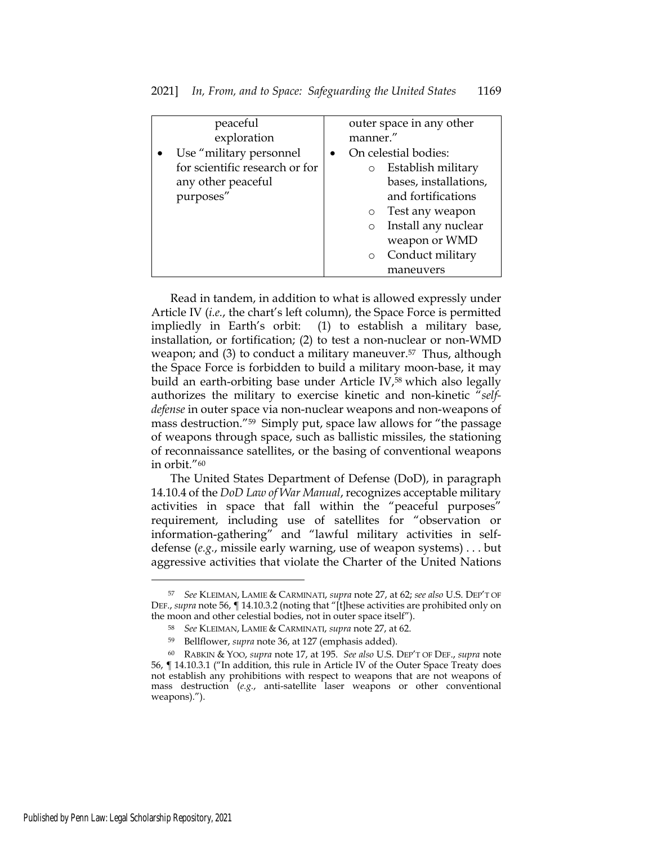| peaceful                       | outer space in any other       |
|--------------------------------|--------------------------------|
| exploration                    | manner."                       |
| Use "military personnel        | On celestial bodies:           |
| for scientific research or for | Establish military<br>$\circ$  |
| any other peaceful             | bases, installations,          |
| purposes"                      | and fortifications             |
|                                | Test any weapon<br>$\circ$     |
|                                | Install any nuclear<br>$\circ$ |
|                                | weapon or WMD                  |
|                                | Conduct military<br>$\circ$    |
|                                | maneuvers                      |

Read in tandem, in addition to what is allowed expressly under Article IV (*i.e.*, the chart's left column), the Space Force is permitted impliedly in Earth's orbit: (1) to establish a military base, installation, or fortification; (2) to test a non-nuclear or non-WMD weapon; and (3) to conduct a military maneuver.<sup>57</sup> Thus, although the Space Force is forbidden to build a military moon-base, it may build an earth-orbiting base under Article IV,58 which also legally authorizes the military to exercise kinetic and non-kinetic "*selfdefense* in outer space via non-nuclear weapons and non-weapons of mass destruction."59 Simply put, space law allows for "the passage of weapons through space, such as ballistic missiles, the stationing of reconnaissance satellites, or the basing of conventional weapons in orbit."60

The United States Department of Defense (DoD), in paragraph 14.10.4 of the *DoD Law of War Manual*, recognizes acceptable military activities in space that fall within the "peaceful purposes" requirement, including use of satellites for "observation or information-gathering" and "lawful military activities in selfdefense (*e.g.*, missile early warning, use of weapon systems) . . . but aggressive activities that violate the Charter of the United Nations

<sup>57</sup> *See* KLEIMAN, LAMIE & CARMINATI, *supra* note 27, at 62; *see also* U.S. DEP'T OF DEF., *supra* note 56, ¶ 14.10.3.2 (noting that "[t]hese activities are prohibited only on the moon and other celestial bodies, not in outer space itself").

<sup>58</sup> *See* KLEIMAN, LAMIE & CARMINATI, *supra* note 27, at 62.

<sup>59</sup> Bellflower, *supra* note 36, at 127 (emphasis added).

<sup>60</sup> RABKIN & YOO, *supra* note 17, at 195. *See also* U.S. DEP'T OF DEF., *supra* note 56, ¶ 14.10.3.1 ("In addition, this rule in Article IV of the Outer Space Treaty does not establish any prohibitions with respect to weapons that are not weapons of mass destruction (*e.g.*, anti-satellite laser weapons or other conventional weapons).").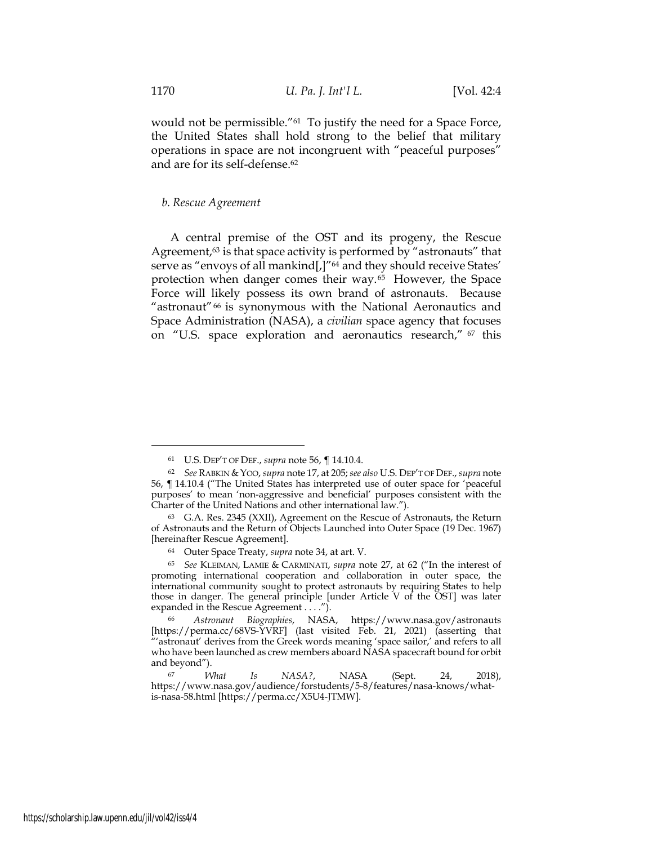would not be permissible."61 To justify the need for a Space Force, the United States shall hold strong to the belief that military operations in space are not incongruent with "peaceful purposes" and are for its self-defense.62

#### *b. Rescue Agreement*

A central premise of the OST and its progeny, the Rescue Agreement,<sup>63</sup> is that space activity is performed by "astronauts" that serve as "envoys of all mankind[,]"<sup>64</sup> and they should receive States' protection when danger comes their way.65 However, the Space Force will likely possess its own brand of astronauts. Because "astronaut"66 is synonymous with the National Aeronautics and Space Administration (NASA), a *civilian* space agency that focuses on "U.S. space exploration and aeronautics research," 67 this

<sup>61</sup> U.S. DEP'T OF DEF., *supra* note 56, ¶ 14.10.4.

<sup>62</sup> *See* RABKIN & YOO, *supra* note 17, at 205; *see also* U.S. DEP'T OF DEF., *supra* note 56, ¶ 14.10.4 ("The United States has interpreted use of outer space for 'peaceful purposes' to mean 'non-aggressive and beneficial' purposes consistent with the Charter of the United Nations and other international law.").

<sup>63</sup> G.A. Res. 2345 (XXII), Agreement on the Rescue of Astronauts, the Return of Astronauts and the Return of Objects Launched into Outer Space (19 Dec. 1967) [hereinafter Rescue Agreement].

<sup>64</sup> Outer Space Treaty, *supra* note 34, at art. V.

<sup>65</sup> *See* KLEIMAN, LAMIE & CARMINATI, *supra* note 27, at 62 ("In the interest of promoting international cooperation and collaboration in outer space, the international community sought to protect astronauts by requiring States to help those in danger. The general principle [under Article V of the OST] was later expanded in the Rescue Agreement . . . .").

<sup>66</sup> *Astronaut Biographies*, NASA, https://www.nasa.gov/astronauts [https://perma.cc/68VS-YVRF] (last visited Feb. 21, 2021) (asserting that "'astronaut' derives from the Greek words meaning 'space sailor,' and refers to all who have been launched as crew members aboard NASA spacecraft bound for orbit and beyond").

<sup>67</sup> *What Is NASA?*, NASA (Sept. 24, 2018), https://www.nasa.gov/audience/forstudents/5-8/features/nasa-knows/whatis-nasa-58.html [https://perma.cc/X5U4-JTMW].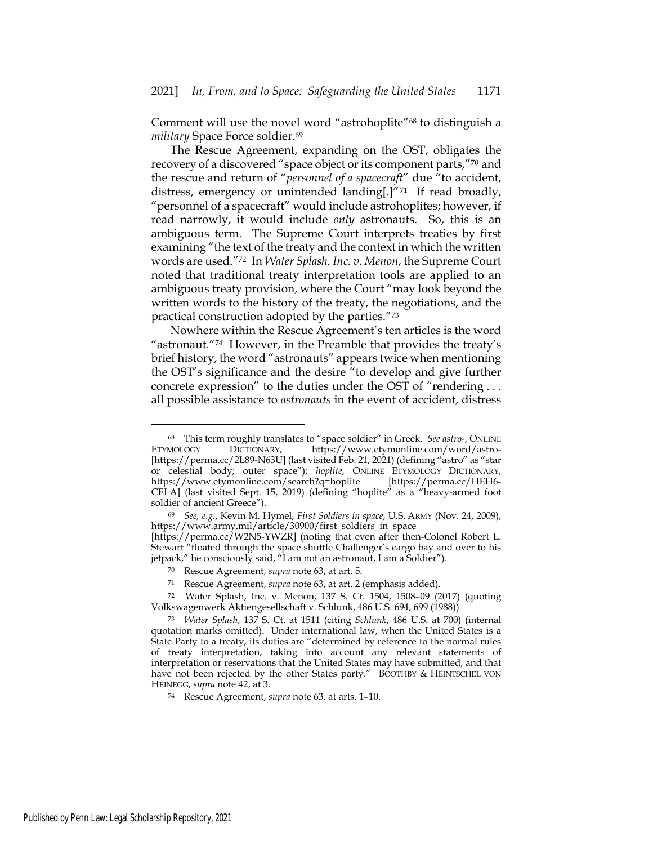Comment will use the novel word "astrohoplite"68 to distinguish a *military* Space Force soldier.<sup>69</sup>

The Rescue Agreement, expanding on the OST, obligates the recovery of a discovered "space object or its component parts,"70 and the rescue and return of "*personnel of a spacecraft*" due "to accident, distress, emergency or unintended landing[.]"71 If read broadly, "personnel of a spacecraft" would include astrohoplites; however, if read narrowly, it would include *only* astronauts. So, this is an ambiguous term. The Supreme Court interprets treaties by first examining "the text of the treaty and the context in which the written words are used."72 In *Water Splash, Inc. v. Menon*, the Supreme Court noted that traditional treaty interpretation tools are applied to an ambiguous treaty provision, where the Court "may look beyond the written words to the history of the treaty, the negotiations, and the practical construction adopted by the parties."73

Nowhere within the Rescue Agreement's ten articles is the word "astronaut."74 However, in the Preamble that provides the treaty's brief history, the word "astronauts" appears twice when mentioning the OST's significance and the desire "to develop and give further concrete expression" to the duties under the OST of "rendering . . . all possible assistance to *astronauts* in the event of accident, distress

<sup>68</sup> This term roughly translates to "space soldier" in Greek. *See astro-*, ONLINE ETYMOLOGY DICTIONARY, https://www.etymonline.com/word/astro- [https://perma.cc/2L89-N63U] (last visited Feb. 21, 2021) (defining "astro" as "star or celestial body; outer space"); *hoplite*, ONLINE ETYMOLOGY DICTIONARY, https://www.etymonline.com/search?q=hoplite [https://perma.cc/HEH6- CELA] (last visited Sept. 15, 2019) (defining "hoplite" as a "heavy-armed foot soldier of ancient Greece").

<sup>69</sup> *See, e.g.*, Kevin M. Hymel, *First Soldiers in space*, U.S. ARMY (Nov. 24, 2009), https://www.army.mil/article/30900/first\_soldiers\_in\_space [https://perma.cc/W2N5-YWZR] (noting that even after then-Colonel Robert L. Stewart "floated through the space shuttle Challenger's cargo bay and over to his jetpack," he consciously said, "I am not an astronaut, I am a Soldier").

<sup>70</sup> Rescue Agreement, *supra* note 63, at art. 5.

<sup>71</sup> Rescue Agreement, *supra* note 63, at art. 2 (emphasis added).

<sup>72</sup> Water Splash, Inc. v. Menon, 137 S. Ct. 1504, 1508–09 (2017) (quoting Volkswagenwerk Aktiengesellschaft v. Schlunk, 486 U.S. 694, 699 (1988)).

<sup>73</sup> *Water Splash*, 137 S. Ct. at 1511 (citing *Schlunk*, 486 U.S. at 700) (internal quotation marks omitted). Under international law, when the United States is a State Party to a treaty, its duties are "determined by reference to the normal rules of treaty interpretation, taking into account any relevant statements of interpretation or reservations that the United States may have submitted, and that have not been rejected by the other States party." BOOTHBY & HEINTSCHEL VON HEINEGG, *supra* note 42, at 3.

<sup>74</sup> Rescue Agreement, *supra* note 63, at arts. 1–10.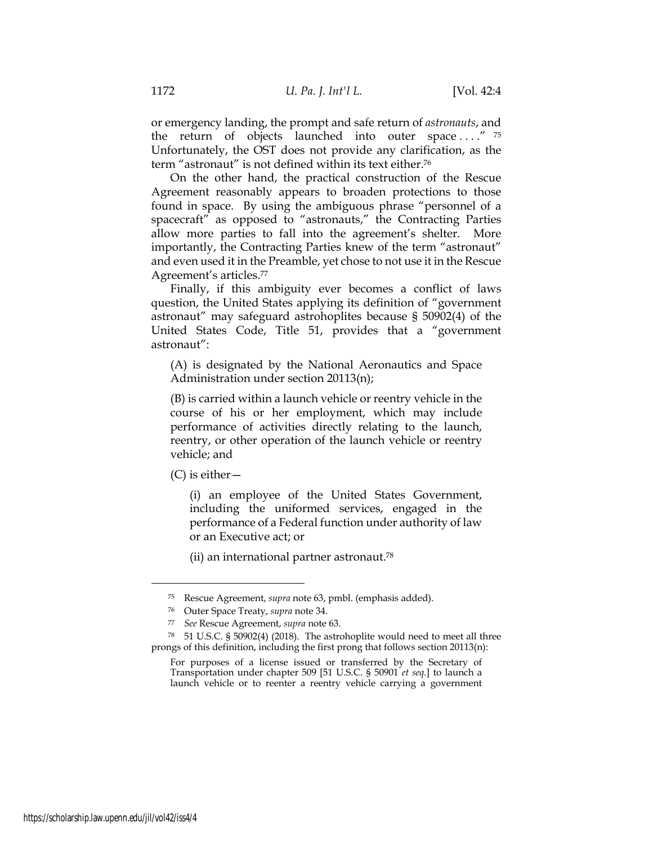or emergency landing, the prompt and safe return of *astronauts*, and the return of objects launched into outer space  $\dots$ ." <sup>75</sup> Unfortunately, the OST does not provide any clarification, as the term "astronaut" is not defined within its text either.76

On the other hand, the practical construction of the Rescue Agreement reasonably appears to broaden protections to those found in space. By using the ambiguous phrase "personnel of a spacecraft" as opposed to "astronauts," the Contracting Parties allow more parties to fall into the agreement's shelter. More importantly, the Contracting Parties knew of the term "astronaut" and even used it in the Preamble, yet chose to not use it in the Rescue Agreement's articles.77

Finally, if this ambiguity ever becomes a conflict of laws question, the United States applying its definition of "government astronaut" may safeguard astrohoplites because § 50902(4) of the United States Code, Title 51, provides that a "government astronaut":

(A) is designated by the National Aeronautics and Space Administration under section 20113(n);

(B) is carried within a launch vehicle or reentry vehicle in the course of his or her employment, which may include performance of activities directly relating to the launch, reentry, or other operation of the launch vehicle or reentry vehicle; and

(C) is either—

(i) an employee of the United States Government, including the uniformed services, engaged in the performance of a Federal function under authority of law or an Executive act; or

(ii) an international partner astronaut.78

<sup>75</sup> Rescue Agreement, *supra* note 63, pmbl. (emphasis added).

<sup>76</sup> Outer Space Treaty, *supra* note 34.

<sup>77</sup> *See* Rescue Agreement, *supra* note 63.

<sup>78</sup> 51 U.S.C. § 50902(4) (2018). The astrohoplite would need to meet all three prongs of this definition, including the first prong that follows section 20113(n):

For purposes of a license issued or transferred by the Secretary of Transportation under chapter 509 [51 U.S.C. § 50901 *et seq.*] to launch a launch vehicle or to reenter a reentry vehicle carrying a government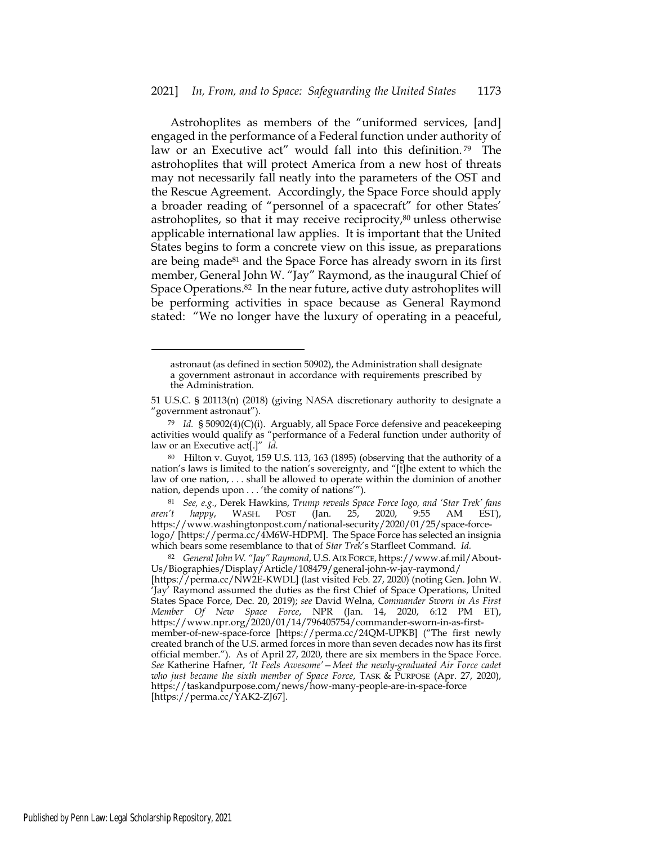Astrohoplites as members of the "uniformed services, [and] engaged in the performance of a Federal function under authority of law or an Executive act" would fall into this definition.<sup>79</sup> The astrohoplites that will protect America from a new host of threats may not necessarily fall neatly into the parameters of the OST and the Rescue Agreement. Accordingly, the Space Force should apply a broader reading of "personnel of a spacecraft" for other States' astrohoplites, so that it may receive reciprocity,<sup>80</sup> unless otherwise applicable international law applies. It is important that the United States begins to form a concrete view on this issue, as preparations are being made81 and the Space Force has already sworn in its first member, General John W. "Jay" Raymond, as the inaugural Chief of Space Operations.82 In the near future, active duty astrohoplites will be performing activities in space because as General Raymond stated: "We no longer have the luxury of operating in a peaceful,

astronaut (as defined in section 50902), the Administration shall designate a government astronaut in accordance with requirements prescribed by the Administration.

<sup>51</sup> U.S.C. § 20113(n) (2018) (giving NASA discretionary authority to designate a "government astronaut").

<sup>79</sup> *Id.* § 50902(4)(C)(i). Arguably, all Space Force defensive and peacekeeping activities would qualify as "performance of a Federal function under authority of law or an Executive act[.]" *Id.*

<sup>80</sup> Hilton v. Guyot, 159 U.S. 113, 163 (1895) (observing that the authority of a nation's laws is limited to the nation's sovereignty, and "[t]he extent to which the law of one nation, . . . shall be allowed to operate within the dominion of another nation, depends upon . . . 'the comity of nations'").

<sup>81</sup> *See, e.g.*, Derek Hawkins, *Trump reveals Space Force logo, and 'Star Trek' fans aren't happy*, WASH. POST (Jan. 25, 2020, 9:55 AM EST), https://www.washingtonpost.com/national-security/2020/01/25/space-forcelogo/ [https://perma.cc/4M6W-HDPM]. The Space Force has selected an insignia which bears some resemblance to that of *Star Trek*'s Starfleet Command. *Id.*

<sup>82</sup> *General John W. "Jay" Raymond*, U.S.AIR FORCE, https://www.af.mil/About-Us/Biographies/Display/Article/108479/general-john-w-jay-raymond/ [https://perma.cc/NW2E-KWDL] (last visited Feb. 27, 2020) (noting Gen. John W. 'Jay' Raymond assumed the duties as the first Chief of Space Operations, United States Space Force, Dec. 20, 2019); *see* David Welna, *Commander Sworn in As First Member Of New Space Force*, NPR (Jan. 14, 2020, 6:12 PM ET), https://www.npr.org/2020/01/14/796405754/commander-sworn-in-as-firstmember-of-new-space-force [https://perma.cc/24QM-UPKB] ("The first newly created branch of the U.S. armed forces in more than seven decades now has its first official member."). As of April 27, 2020, there are six members in the Space Force. *See* Katherine Hafner, *'It Feels Awesome'—Meet the newly-graduated Air Force cadet who just became the sixth member of Space Force*, TASK & PURPOSE (Apr. 27, 2020), https://taskandpurpose.com/news/how-many-people-are-in-space-force [https://perma.cc/YAK2-ZJ67].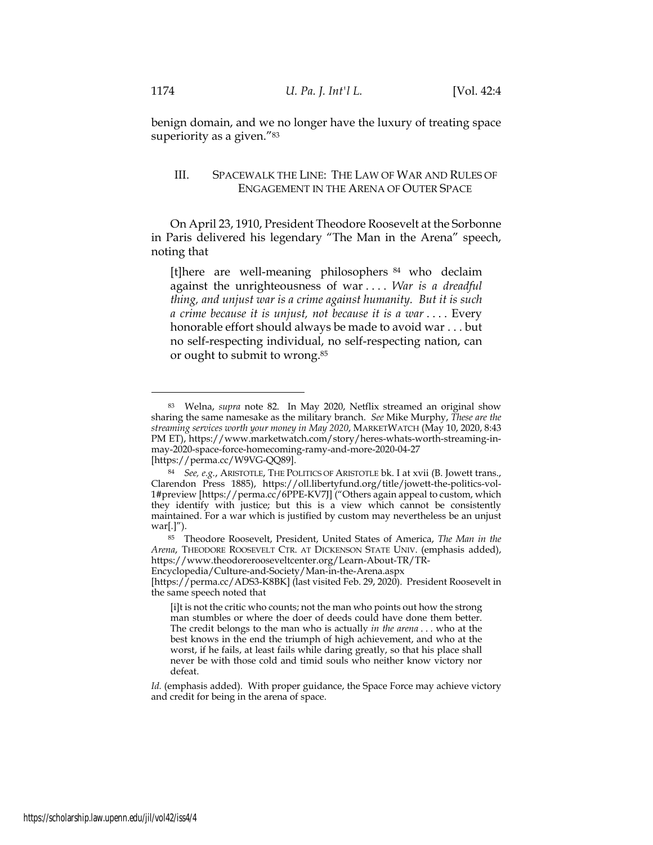benign domain, and we no longer have the luxury of treating space superiority as a given."<sup>83</sup>

# III. SPACEWALK THE LINE: THE LAW OF WAR AND RULES OF ENGAGEMENT IN THE ARENA OF OUTER SPACE

On April 23, 1910, President Theodore Roosevelt at the Sorbonne in Paris delivered his legendary "The Man in the Arena" speech, noting that

[t]here are well-meaning philosophers 84 who declaim against the unrighteousness of war . . . . *War is a dreadful thing, and unjust war is a crime against humanity. But it is such a crime because it is unjust, not because it is a war* . . . . Every honorable effort should always be made to avoid war . . . but no self-respecting individual, no self-respecting nation, can or ought to submit to wrong.85

<sup>83</sup> Welna, *supra* note 82. In May 2020, Netflix streamed an original show sharing the same namesake as the military branch. *See* Mike Murphy, *These are the streaming services worth your money in May 2020*, MARKETWATCH (May 10, 2020, 8:43 PM ET), https://www.marketwatch.com/story/heres-whats-worth-streaming-inmay-2020-space-force-homecoming-ramy-and-more-2020-04-27

<sup>[</sup>https://perma.cc/W9VG-QQ89].

<sup>84</sup> *See, e.g.*, ARISTOTLE, THE POLITICS OF ARISTOTLE bk. I at xvii (B. Jowett trans., Clarendon Press 1885), https://oll.libertyfund.org/title/jowett-the-politics-vol-1#preview [https://perma.cc/6PPE-KV7J] ("Others again appeal to custom, which they identify with justice; but this is a view which cannot be consistently maintained. For a war which is justified by custom may nevertheless be an unjust war[.]").

<sup>85</sup> Theodore Roosevelt, President, United States of America, *The Man in the Arena*, THEODORE ROOSEVELT CTR. AT DICKENSON STATE UNIV. (emphasis added), https://www.theodorerooseveltcenter.org/Learn-About-TR/TR-

Encyclopedia/Culture-and-Society/Man-in-the-Arena.aspx

<sup>[</sup>https://perma.cc/ADS3-K8BK] (last visited Feb. 29, 2020). President Roosevelt in the same speech noted that

<sup>[</sup>i]t is not the critic who counts; not the man who points out how the strong man stumbles or where the doer of deeds could have done them better. The credit belongs to the man who is actually *in the arena* . . . who at the best knows in the end the triumph of high achievement, and who at the worst, if he fails, at least fails while daring greatly, so that his place shall never be with those cold and timid souls who neither know victory nor defeat.

*Id.* (emphasis added). With proper guidance, the Space Force may achieve victory and credit for being in the arena of space.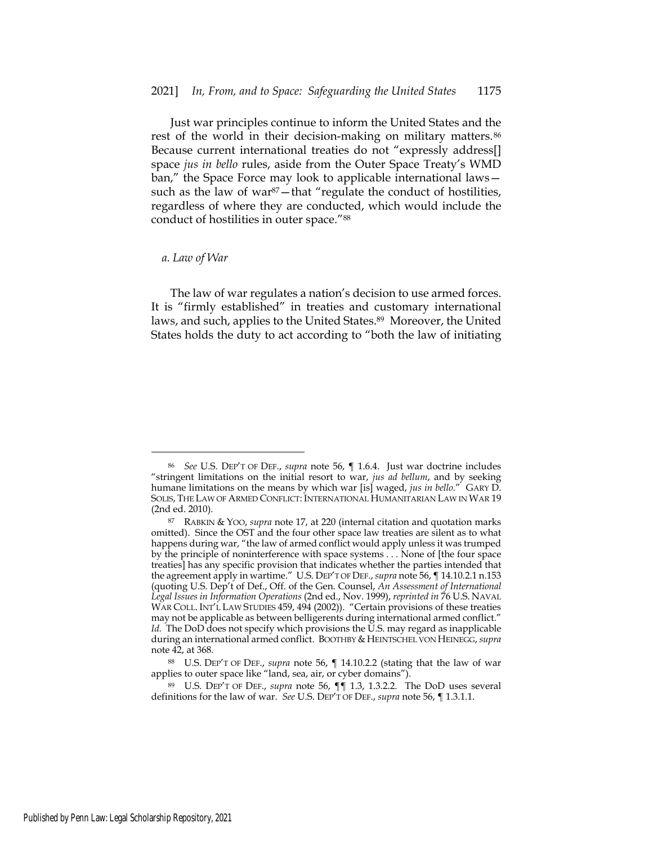Just war principles continue to inform the United States and the rest of the world in their decision-making on military matters.<sup>86</sup> Because current international treaties do not "expressly address[] space *jus in bello* rules, aside from the Outer Space Treaty's WMD ban," the Space Force may look to applicable international laws such as the law of war<sup>87</sup>-that "regulate the conduct of hostilities, regardless of where they are conducted, which would include the conduct of hostilities in outer space."88

#### *a. Law of War*

The law of war regulates a nation's decision to use armed forces. It is "firmly established" in treaties and customary international laws, and such, applies to the United States.<sup>89</sup> Moreover, the United States holds the duty to act according to "both the law of initiating

<sup>86</sup> *See* U.S. DEP'T OF DEF., *supra* note 56, ¶ 1.6.4. Just war doctrine includes "stringent limitations on the initial resort to war, *jus ad bellum*, and by seeking humane limitations on the means by which war [is] waged, *jus in bello*." GARY D. SOLIS, THE LAW OF ARMED CONFLICT: INTERNATIONAL HUMANITARIAN LAW IN WAR 19 (2nd ed. 2010).

<sup>87</sup> RABKIN & YOO, *supra* note 17, at 220 (internal citation and quotation marks omitted). Since the OST and the four other space law treaties are silent as to what happens during war, "the law of armed conflict would apply unless it was trumped by the principle of noninterference with space systems . . . None of [the four space treaties] has any specific provision that indicates whether the parties intended that the agreement apply in wartime." U.S. DEP'T OF DEF., *supra* note 56, ¶ 14.10.2.1 n.153 (quoting U.S. Dep't of Def., Off. of the Gen. Counsel, *An Assessment of International Legal Issues in Information Operations* (2nd ed., Nov. 1999), *reprinted in* 76 U.S. NAVAL WAR COLL. INT'L LAW STUDIES 459, 494 (2002)). "Certain provisions of these treaties may not be applicable as between belligerents during international armed conflict." *Id.* The DoD does not specify which provisions the U.S. may regard as inapplicable during an international armed conflict. BOOTHBY & HEINTSCHEL VON HEINEGG, *supra* note 42, at 368.

<sup>88</sup> U.S. DEP'T OF DEF., *supra* note 56, ¶ 14.10.2.2 (stating that the law of war applies to outer space like "land, sea, air, or cyber domains").

<sup>89</sup> U.S. DEP'T OF DEF., *supra* note 56, ¶¶ 1.3, 1.3.2.2. The DoD uses several definitions for the law of war. *See* U.S. DEP'T OF DEF., *supra* note 56, ¶ 1.3.1.1.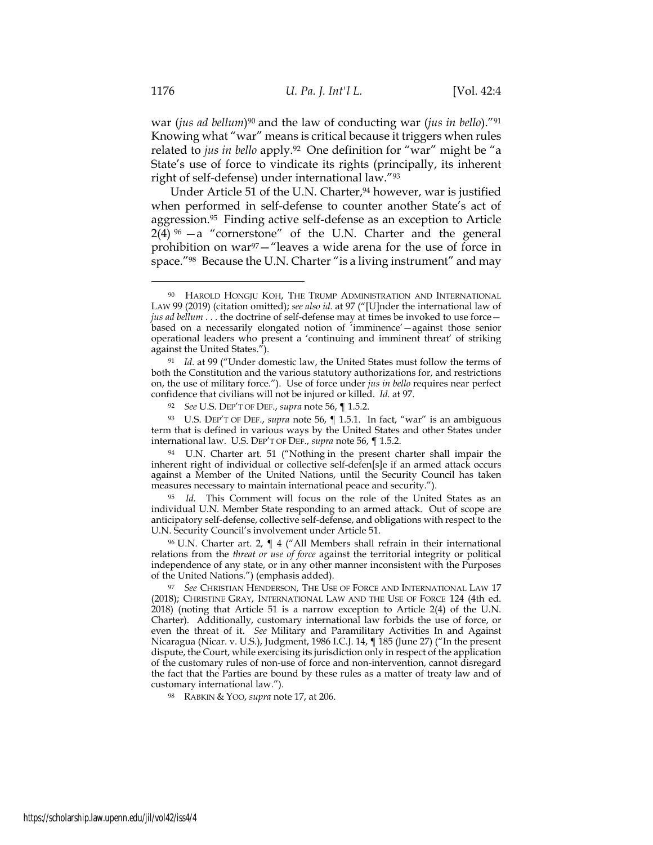war (*jus ad bellum*)90 and the law of conducting war (*jus in bello*)."91 Knowing what "war" means is critical because it triggers when rules related to *jus in bello* apply.92 One definition for "war" might be "a State's use of force to vindicate its rights (principally, its inherent right of self-defense) under international law."93

Under Article 51 of the U.N. Charter,<sup>94</sup> however, war is justified when performed in self-defense to counter another State's act of aggression.95 Finding active self-defense as an exception to Article  $2(4)$  %  $-a$  "cornerstone" of the U.N. Charter and the general prohibition on war<sup>97</sup>-"leaves a wide arena for the use of force in space."<sup>98</sup> Because the U.N. Charter "is a living instrument" and may

<sup>93</sup> U.S. DEP'T OF DEF., *supra* note 56, ¶ 1.5.1. In fact, "war" is an ambiguous term that is defined in various ways by the United States and other States under international law. U.S. DEP'T OF DEF., *supra* note 56, ¶ 1.5.2.

<sup>94</sup> U.N. Charter art. 51 ("Nothing in the present charter shall impair the inherent right of individual or collective self-defen[s]e if an armed attack occurs against a Member of the United Nations, until the Security Council has taken measures necessary to maintain international peace and security.").

<sup>95</sup> *Id.* This Comment will focus on the role of the United States as an individual U.N. Member State responding to an armed attack. Out of scope are anticipatory self-defense, collective self-defense, and obligations with respect to the U.N. Security Council's involvement under Article 51.

96 U.N. Charter art. 2, ¶ 4 ("All Members shall refrain in their international relations from the *threat or use of force* against the territorial integrity or political independence of any state, or in any other manner inconsistent with the Purposes of the United Nations.") (emphasis added).

<sup>97</sup> *See* CHRISTIAN HENDERSON, THE USE OF FORCE AND INTERNATIONAL LAW 17 (2018); CHRISTINE GRAY, INTERNATIONAL LAW AND THE USE OF FORCE 124 (4th ed. 2018) (noting that Article 51 is a narrow exception to Article 2(4) of the U.N. Charter). Additionally, customary international law forbids the use of force, or even the threat of it. *See* Military and Paramilitary Activities In and Against Nicaragua (Nicar. v. U.S.), Judgment, 1986 I.C.J. 14, ¶ 185 (June 27) ("In the present dispute, the Court, while exercising its jurisdiction only in respect of the application of the customary rules of non-use of force and non-intervention, cannot disregard the fact that the Parties are bound by these rules as a matter of treaty law and of customary international law.").

<sup>98</sup> RABKIN & YOO, *supra* note 17, at 206.

<sup>90</sup> HAROLD HONGJU KOH, THE TRUMP ADMINISTRATION AND INTERNATIONAL LAW 99 (2019) (citation omitted); *see also id.* at 97 ("[U]nder the international law of *jus ad bellum* . . . the doctrine of self-defense may at times be invoked to use force based on a necessarily elongated notion of 'imminence'—against those senior operational leaders who present a 'continuing and imminent threat' of striking against the United States.").

<sup>91</sup> *Id.* at 99 ("Under domestic law, the United States must follow the terms of both the Constitution and the various statutory authorizations for, and restrictions on, the use of military force."). Use of force under *jus in bello* requires near perfect confidence that civilians will not be injured or killed. *Id.* at 97.

<sup>92</sup> *See* U.S. DEP'T OF DEF., *supra* note 56, ¶ 1.5.2.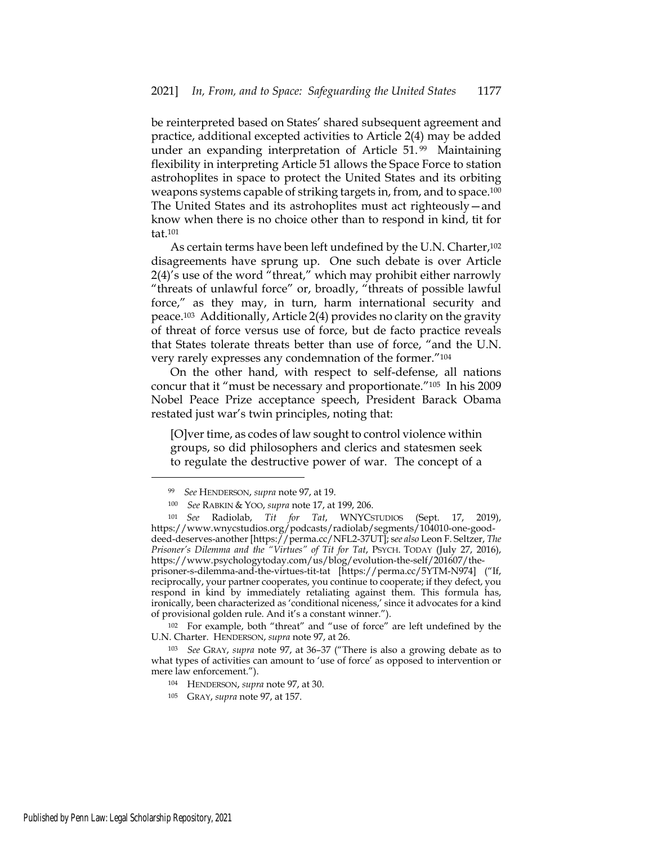be reinterpreted based on States' shared subsequent agreement and practice, additional excepted activities to Article 2(4) may be added under an expanding interpretation of Article 51. 99 Maintaining flexibility in interpreting Article 51 allows the Space Force to station astrohoplites in space to protect the United States and its orbiting weapons systems capable of striking targets in, from, and to space.<sup>100</sup> The United States and its astrohoplites must act righteously—and know when there is no choice other than to respond in kind, tit for tat.101

As certain terms have been left undefined by the U.N. Charter,<sup>102</sup> disagreements have sprung up. One such debate is over Article 2(4)'s use of the word "threat," which may prohibit either narrowly "threats of unlawful force" or, broadly, "threats of possible lawful force," as they may, in turn, harm international security and peace.103 Additionally, Article 2(4) provides no clarity on the gravity of threat of force versus use of force, but de facto practice reveals that States tolerate threats better than use of force, "and the U.N. very rarely expresses any condemnation of the former."104

On the other hand, with respect to self-defense, all nations concur that it "must be necessary and proportionate."105 In his 2009 Nobel Peace Prize acceptance speech, President Barack Obama restated just war's twin principles, noting that:

[O]ver time, as codes of law sought to control violence within groups, so did philosophers and clerics and statesmen seek to regulate the destructive power of war. The concept of a

<sup>102</sup> For example, both "threat" and "use of force" are left undefined by the U.N. Charter. HENDERSON, *supra* note 97, at 26.

<sup>103</sup> *See* GRAY, *supra* note 97, at 36–37 ("There is also a growing debate as to what types of activities can amount to 'use of force' as opposed to intervention or mere law enforcement.").

- <sup>104</sup> HENDERSON, *supra* note 97, at 30.
- <sup>105</sup> GRAY, *supra* note 97, at 157.

<sup>99</sup> *See* HENDERSON, *supra* note 97, at 19.

<sup>100</sup> *See* RABKIN & YOO, *supra* note 17, at 199, 206.

<sup>101</sup> *See* Radiolab, *Tit for Tat*, WNYCSTUDIOS (Sept. 17, 2019), https://www.wnycstudios.org/podcasts/radiolab/segments/104010-one-gooddeed-deserves-another [https://perma.cc/NFL2-37UT]; s*ee also* Leon F. Seltzer, *The Prisoner's Dilemma and the "Virtues" of Tit for Tat*, PSYCH. TODAY (July 27, 2016), https://www.psychologytoday.com/us/blog/evolution-the-self/201607/theprisoner-s-dilemma-and-the-virtues-tit-tat [https://perma.cc/5YTM-N974] ("If, reciprocally, your partner cooperates, you continue to cooperate; if they defect, you respond in kind by immediately retaliating against them. This formula has, ironically, been characterized as 'conditional niceness,' since it advocates for a kind of provisional golden rule. And it's a constant winner.").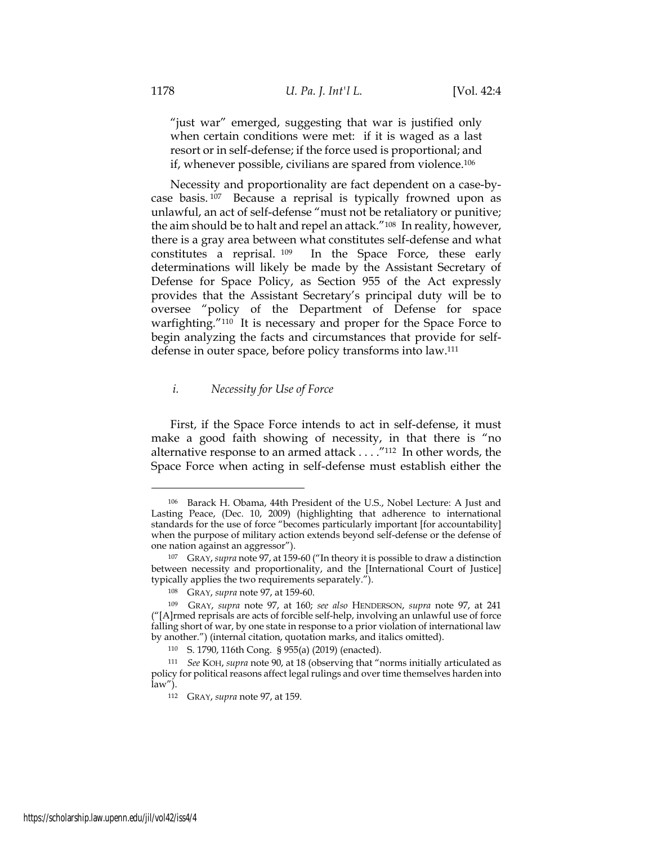"just war" emerged, suggesting that war is justified only when certain conditions were met: if it is waged as a last resort or in self-defense; if the force used is proportional; and if, whenever possible, civilians are spared from violence.106

Necessity and proportionality are fact dependent on a case-bycase basis. 107 Because a reprisal is typically frowned upon as unlawful, an act of self-defense "must not be retaliatory or punitive; the aim should be to halt and repel an attack."108 In reality, however, there is a gray area between what constitutes self-defense and what constitutes a reprisal. 109 In the Space Force, these early determinations will likely be made by the Assistant Secretary of Defense for Space Policy, as Section 955 of the Act expressly provides that the Assistant Secretary's principal duty will be to oversee "policy of the Department of Defense for space warfighting."110 It is necessary and proper for the Space Force to begin analyzing the facts and circumstances that provide for selfdefense in outer space, before policy transforms into law.111

## *i. Necessity for Use of Force*

First, if the Space Force intends to act in self-defense, it must make a good faith showing of necessity, in that there is "no alternative response to an armed attack . . . ."112 In other words, the Space Force when acting in self-defense must establish either the

<sup>106</sup> Barack H. Obama, 44th President of the U.S., Nobel Lecture: A Just and Lasting Peace, (Dec. 10, 2009) (highlighting that adherence to international standards for the use of force "becomes particularly important [for accountability] when the purpose of military action extends beyond self-defense or the defense of one nation against an aggressor").

<sup>107</sup> GRAY, *supra* note 97, at 159-60 ("In theory it is possible to draw a distinction between necessity and proportionality, and the [International Court of Justice] typically applies the two requirements separately.").

<sup>108</sup> GRAY, *supra* note 97, at 159-60.

<sup>109</sup> GRAY, *supra* note 97, at 160; *see also* HENDERSON, *supra* note 97, at 241 ("[A]rmed reprisals are acts of forcible self-help, involving an unlawful use of force falling short of war, by one state in response to a prior violation of international law by another.") (internal citation, quotation marks, and italics omitted).

<sup>110</sup> S. 1790, 116th Cong. § 955(a) (2019) (enacted).

<sup>111</sup> *See* KOH, *supra* note 90, at 18 (observing that "norms initially articulated as policy for political reasons affect legal rulings and over time themselves harden into law").

<sup>112</sup> GRAY, *supra* note 97, at 159.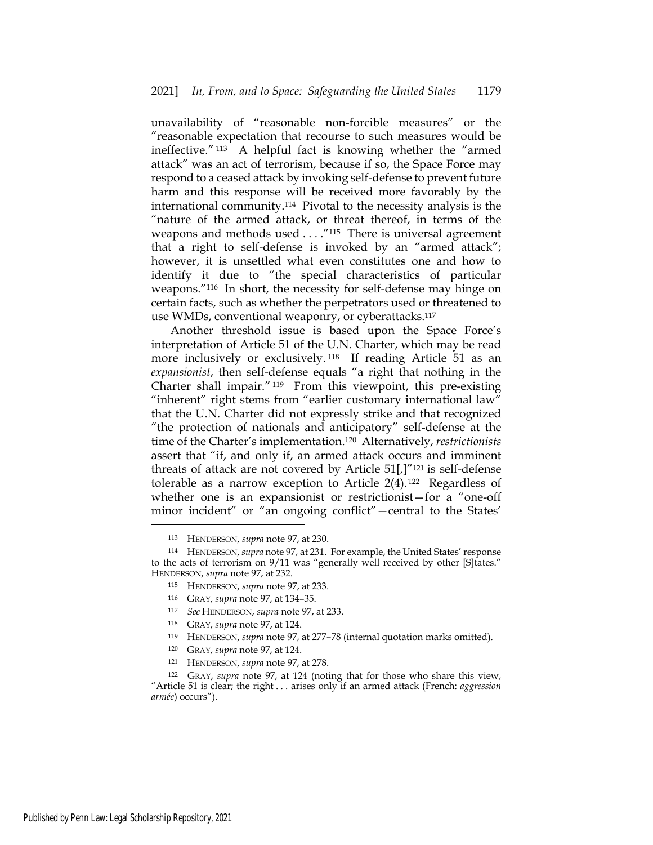unavailability of "reasonable non-forcible measures" or the "reasonable expectation that recourse to such measures would be ineffective." 113 A helpful fact is knowing whether the "armed attack" was an act of terrorism, because if so, the Space Force may respond to a ceased attack by invoking self-defense to prevent future harm and this response will be received more favorably by the international community.114 Pivotal to the necessity analysis is the "nature of the armed attack, or threat thereof, in terms of the weapons and methods used . . . . "115 There is universal agreement that a right to self-defense is invoked by an "armed attack"; however, it is unsettled what even constitutes one and how to identify it due to "the special characteristics of particular weapons."116 In short, the necessity for self-defense may hinge on certain facts, such as whether the perpetrators used or threatened to use WMDs, conventional weaponry, or cyberattacks.117

Another threshold issue is based upon the Space Force's interpretation of Article 51 of the U.N. Charter, which may be read more inclusively or exclusively. 118 If reading Article 51 as an *expansionist*, then self-defense equals "a right that nothing in the Charter shall impair." 119 From this viewpoint, this pre-existing "inherent" right stems from "earlier customary international law" that the U.N. Charter did not expressly strike and that recognized "the protection of nationals and anticipatory" self-defense at the time of the Charter's implementation.120 Alternatively, *restrictionists* assert that "if, and only if, an armed attack occurs and imminent threats of attack are not covered by Article  $51$ <sup>[</sup>]<sup>"121</sup> is self-defense tolerable as a narrow exception to Article 2(4). 122 Regardless of whether one is an expansionist or restrictionist—for a "one-off minor incident" or "an ongoing conflict"—central to the States'

- <sup>119</sup> HENDERSON, *supra* note 97, at 277–78 (internal quotation marks omitted).
- <sup>120</sup> GRAY, *supra* note 97, at 124.

<sup>113</sup> HENDERSON, *supra* note 97, at 230.

<sup>114</sup> HENDERSON, *supra* note 97, at 231. For example, the United States' response to the acts of terrorism on 9/11 was "generally well received by other [S]tates." HENDERSON, *supra* note 97, at 232.

<sup>115</sup> HENDERSON, *supra* note 97, at 233.

<sup>116</sup> GRAY, *supra* note 97, at 134–35.

<sup>117</sup> *See* HENDERSON, *supra* note 97, at 233.

<sup>118</sup> GRAY, *supra* note 97, at 124.

<sup>121</sup> HENDERSON, *supra* note 97, at 278.

<sup>122</sup> GRAY, *supra* note 97, at 124 (noting that for those who share this view, "Article 51 is clear; the right . . . arises only if an armed attack (French: *aggression armée*) occurs").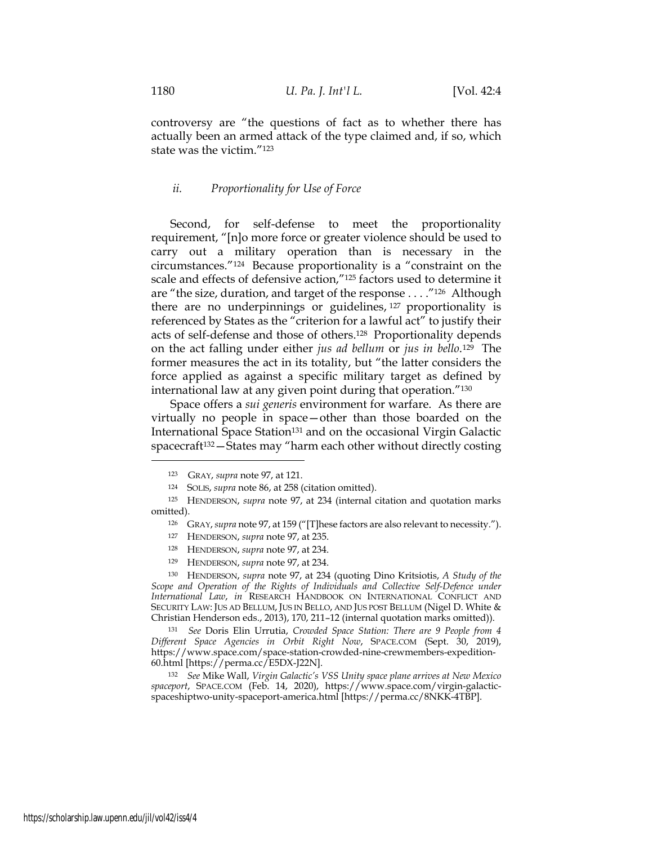controversy are "the questions of fact as to whether there has actually been an armed attack of the type claimed and, if so, which state was the victim."123

#### *ii. Proportionality for Use of Force*

Second, for self-defense to meet the proportionality requirement, "[n]o more force or greater violence should be used to carry out a military operation than is necessary in the circumstances."124 Because proportionality is a "constraint on the scale and effects of defensive action,"125 factors used to determine it are "the size, duration, and target of the response . . . ."126 Although there are no underpinnings or guidelines, 127 proportionality is referenced by States as the "criterion for a lawful act" to justify their acts of self-defense and those of others.128 Proportionality depends on the act falling under either *jus ad bellum* or *jus in bello*.129 The former measures the act in its totality, but "the latter considers the force applied as against a specific military target as defined by international law at any given point during that operation."130

Space offers a *sui generis* environment for warfare. As there are virtually no people in space—other than those boarded on the International Space Station<sup>131</sup> and on the occasional Virgin Galactic spacecraft<sup>132</sup> - States may "harm each other without directly costing

<sup>123</sup> GRAY, *supra* note 97, at 121.

<sup>124</sup> SOLIS, *supra* note 86, at 258 (citation omitted).

<sup>125</sup> HENDERSON, *supra* note 97, at 234 (internal citation and quotation marks omitted).

<sup>126</sup> GRAY, *supra* note 97, at 159 ("[T]hese factors are also relevant to necessity.").

<sup>127</sup> HENDERSON, *supra* note 97, at 235.

<sup>128</sup> HENDERSON, *supra* note 97, at 234.

<sup>129</sup> HENDERSON, *supra* note 97, at 234.

<sup>130</sup> HENDERSON, *supra* note 97, at 234 (quoting Dino Kritsiotis, *A Study of the*  Scope and Operation of the Rights of Individuals and Collective Self-Defence under *International Law*, *in* RESEARCH HANDBOOK ON INTERNATIONAL CONFLICT AND SECURITY LAW: JUS AD BELLUM, JUS IN BELLO, AND JUS POST BELLUM (Nigel D. White & Christian Henderson eds., 2013), 170, 211–12 (internal quotation marks omitted)).

<sup>131</sup> *See* Doris Elin Urrutia, *Crowded Space Station: There are 9 People from 4 Different Space Agencies in Orbit Right Now*, SPACE.COM (Sept. 30, 2019), https://www.space.com/space-station-crowded-nine-crewmembers-expedition-60.html [https://perma.cc/E5DX-J22N].

<sup>132</sup> *See* Mike Wall, *Virgin Galactic's VSS Unity space plane arrives at New Mexico spaceport*, SPACE.COM (Feb. 14, 2020), https://www.space.com/virgin-galacticspaceshiptwo-unity-spaceport-america.html [https://perma.cc/8NKK-4TBP].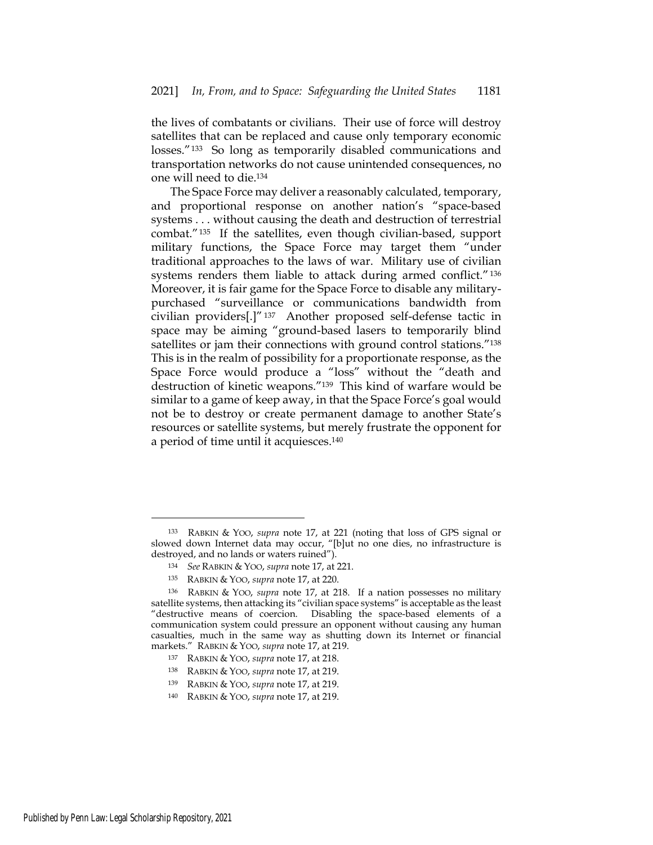the lives of combatants or civilians. Their use of force will destroy satellites that can be replaced and cause only temporary economic losses."<sup>133</sup> So long as temporarily disabled communications and transportation networks do not cause unintended consequences, no one will need to die.134

The Space Force may deliver a reasonably calculated, temporary, and proportional response on another nation's "space-based systems . . . without causing the death and destruction of terrestrial combat."135 If the satellites, even though civilian-based, support military functions, the Space Force may target them "under traditional approaches to the laws of war. Military use of civilian systems renders them liable to attack during armed conflict."<sup>136</sup> Moreover, it is fair game for the Space Force to disable any militarypurchased "surveillance or communications bandwidth from civilian providers[.]" 137 Another proposed self-defense tactic in space may be aiming "ground-based lasers to temporarily blind satellites or jam their connections with ground control stations."138 This is in the realm of possibility for a proportionate response, as the Space Force would produce a "loss" without the "death and destruction of kinetic weapons."139 This kind of warfare would be similar to a game of keep away, in that the Space Force's goal would not be to destroy or create permanent damage to another State's resources or satellite systems, but merely frustrate the opponent for a period of time until it acquiesces.140

- <sup>137</sup> RABKIN & YOO, *supra* note 17, at 218.
- <sup>138</sup> RABKIN & YOO, *supra* note 17, at 219.
- <sup>139</sup> RABKIN & YOO, *supra* note 17, at 219.
- <sup>140</sup> RABKIN & YOO, *supra* note 17, at 219.

<sup>133</sup> RABKIN & YOO, *supra* note 17, at 221 (noting that loss of GPS signal or slowed down Internet data may occur, "[b]ut no one dies, no infrastructure is destroyed, and no lands or waters ruined").

<sup>134</sup> *See* RABKIN & YOO, *supra* note 17, at 221.

<sup>135</sup> RABKIN & YOO, *supra* note 17, at 220.

<sup>136</sup> RABKIN & YOO, *supra* note 17, at 218. If a nation possesses no military satellite systems, then attacking its "civilian space systems" is acceptable as the least "destructive means of coercion. Disabling the space-based elements of a communication system could pressure an opponent without causing any human casualties, much in the same way as shutting down its Internet or financial markets." RABKIN & YOO, *supra* note 17, at 219.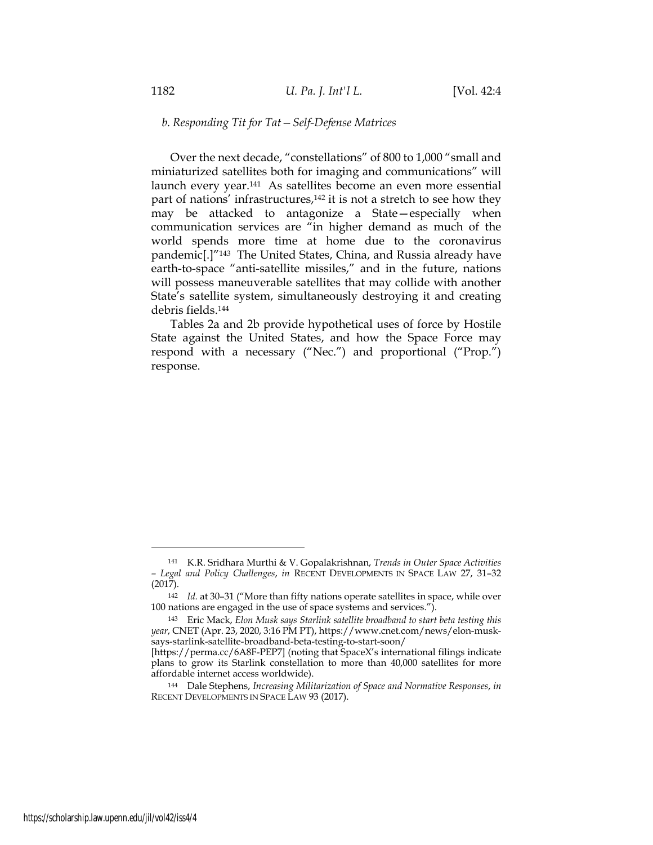#### *b. Responding Tit for Tat—Self-Defense Matrices*

Over the next decade, "constellations" of 800 to 1,000 "small and miniaturized satellites both for imaging and communications" will launch every year.141 As satellites become an even more essential part of nations' infrastructures,<sup>142</sup> it is not a stretch to see how they may be attacked to antagonize a State—especially when communication services are "in higher demand as much of the world spends more time at home due to the coronavirus pandemic[.]"143 The United States, China, and Russia already have earth-to-space "anti-satellite missiles," and in the future, nations will possess maneuverable satellites that may collide with another State's satellite system, simultaneously destroying it and creating debris fields.144

Tables 2a and 2b provide hypothetical uses of force by Hostile State against the United States, and how the Space Force may respond with a necessary ("Nec.") and proportional ("Prop.") response.

<sup>141</sup> K.R. Sridhara Murthi & V. Gopalakrishnan, *Trends in Outer Space Activities – Legal and Policy Challenges*, *in* RECENT DEVELOPMENTS IN SPACE LAW 27, 31–32 (2017).

<sup>142</sup> *Id.* at 30–31 ("More than fifty nations operate satellites in space, while over 100 nations are engaged in the use of space systems and services.").

<sup>143</sup> Eric Mack, *Elon Musk says Starlink satellite broadband to start beta testing this year*, CNET (Apr. 23, 2020, 3:16 PM PT), https://www.cnet.com/news/elon-musksays-starlink-satellite-broadband-beta-testing-to-start-soon/

<sup>[</sup>https://perma.cc/6A8F-PEP7] (noting that SpaceX's international filings indicate plans to grow its Starlink constellation to more than 40,000 satellites for more affordable internet access worldwide).

<sup>144</sup> Dale Stephens, *Increasing Militarization of Space and Normative Responses*, *in* RECENT DEVELOPMENTS IN SPACE LAW 93 (2017).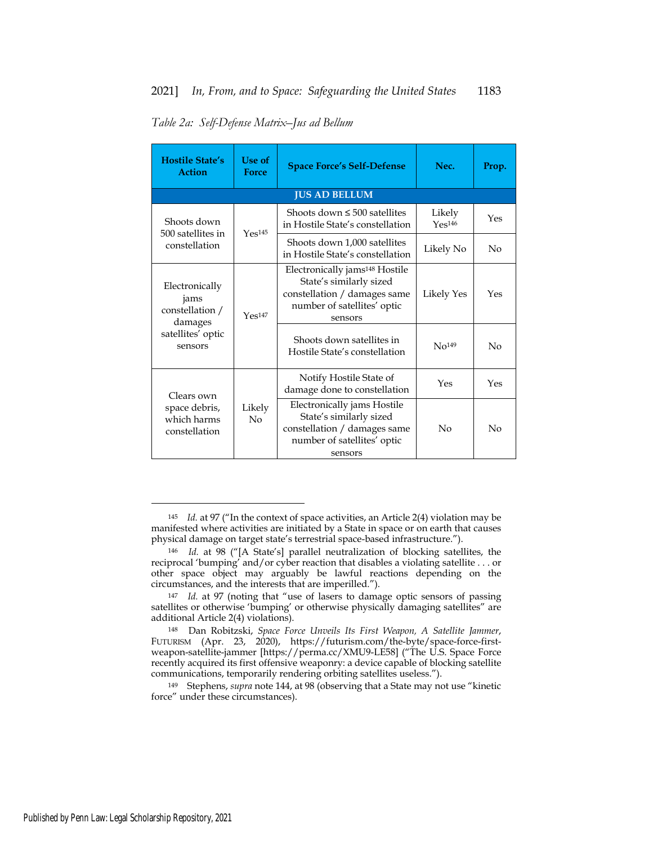| Table 2a: Self-Defense Matrix-Jus ad Bellum |  |
|---------------------------------------------|--|
|                                             |  |

| <b>Hostile State's</b><br><b>Action</b>              | Use of<br><b>Force</b> | <b>Space Force's Self-Defense</b>                                                                                                               | Nec.                         | Prop.    |
|------------------------------------------------------|------------------------|-------------------------------------------------------------------------------------------------------------------------------------------------|------------------------------|----------|
|                                                      |                        | <b>JUS AD BELLUM</b>                                                                                                                            |                              |          |
| Shoots down<br>500 satellites in                     | Yes <sup>145</sup>     | Shoots down $\leq 500$ satellites<br>in Hostile State's constellation                                                                           | Likely<br>Yes <sup>146</sup> | Yes      |
| constellation                                        |                        | Shoots down 1,000 satellites<br>in Hostile State's constellation                                                                                | Likely No                    | No       |
| Electronically<br>jams<br>constellation /<br>damages | Yes <sup>147</sup>     | Electronically jams <sup>148</sup> Hostile<br>State's similarly sized<br>constellation / damages same<br>number of satellites' optic<br>sensors | Likely Yes                   | Yes      |
| satellites' optic<br>sensors                         |                        | Shoots down satellites in<br>Hostile State's constellation                                                                                      | No <sup>149</sup>            | No       |
| Clears own                                           |                        | Notify Hostile State of<br>damage done to constellation                                                                                         | Yes                          | Yes      |
| space debris,<br>which harms<br>constellation        | Likely<br>No           | Electronically jams Hostile<br>State's similarly sized<br>constellation / damages same<br>number of satellites' optic<br>sensors                | $\overline{N}$               | $\rm No$ |

<sup>149</sup> Stephens, *supra* note 144, at 98 (observing that a State may not use "kinetic force" under these circumstances).

<sup>145</sup> *Id.* at 97 ("In the context of space activities, an Article 2(4) violation may be manifested where activities are initiated by a State in space or on earth that causes physical damage on target state's terrestrial space-based infrastructure.").

<sup>146</sup> *Id.* at 98 ("[A State's] parallel neutralization of blocking satellites, the reciprocal 'bumping' and/or cyber reaction that disables a violating satellite . . . or other space object may arguably be lawful reactions depending on the circumstances, and the interests that are imperilled.").

<sup>147</sup> *Id.* at 97 (noting that "use of lasers to damage optic sensors of passing satellites or otherwise 'bumping' or otherwise physically damaging satellites" are additional Article 2(4) violations).

<sup>148</sup> Dan Robitzski, *Space Force Unveils Its First Weapon, A Satellite Jammer*, FUTURISM (Apr. 23, 2020), https://futurism.com/the-byte/space-force-firstweapon-satellite-jammer [https://perma.cc/XMU9-LE58] ("The U.S. Space Force recently acquired its first offensive weaponry: a device capable of blocking satellite communications, temporarily rendering orbiting satellites useless.").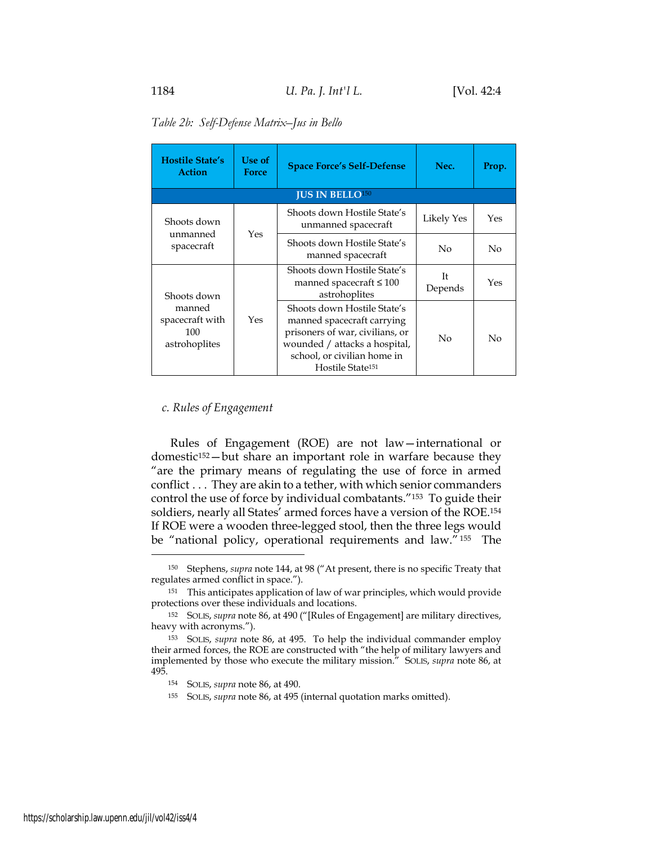|  | Table 2b: Self-Defense Matrix-Jus in Bello |  |
|--|--------------------------------------------|--|
|  |                                            |  |

| <b>Hostile State's</b><br><b>Action</b>           | Use of<br><b>Force</b> | <b>Space Force's Self-Defense</b>                                                                                                                                                            | Nec.          | Prop. |
|---------------------------------------------------|------------------------|----------------------------------------------------------------------------------------------------------------------------------------------------------------------------------------------|---------------|-------|
|                                                   |                        | <b>JUS IN BELLO<sup>150</sup></b>                                                                                                                                                            |               |       |
| Shoots down                                       | Yes                    | Shoots down Hostile State's<br>unmanned spacecraft                                                                                                                                           | Likely Yes    | Yes   |
| unmanned<br>spacecraft                            |                        | Shoots down Hostile State's<br>manned spacecraft                                                                                                                                             | No            | No    |
| Shoots down                                       |                        | Shoots down Hostile State's<br>manned spacecraft $\leq 100$<br>astrohoplites                                                                                                                 | Īt<br>Depends | Yes   |
| manned<br>spacecraft with<br>100<br>astrohoplites | Yes                    | Shoots down Hostile State's<br>manned spacecraft carrying<br>prisoners of war, civilians, or<br>wounded / attacks a hospital,<br>school, or civilian home in<br>Hostile State <sup>151</sup> | No            | No    |

#### *c. Rules of Engagement*

Rules of Engagement (ROE) are not law—international or domestic<sup>152</sup>-but share an important role in warfare because they "are the primary means of regulating the use of force in armed conflict . . . They are akin to a tether, with which senior commanders control the use of force by individual combatants."153 To guide their soldiers, nearly all States' armed forces have a version of the ROE.154 If ROE were a wooden three-legged stool, then the three legs would be "national policy, operational requirements and law." 155 The

<sup>150</sup> Stephens, *supra* note 144, at 98 ("At present, there is no specific Treaty that regulates armed conflict in space.").

<sup>151</sup> This anticipates application of law of war principles, which would provide protections over these individuals and locations.

<sup>152</sup> SOLIS, *supra* note 86, at 490 ("[Rules of Engagement] are military directives, heavy with acronyms.").

<sup>153</sup> SOLIS, *supra* note 86, at 495. To help the individual commander employ their armed forces, the ROE are constructed with "the help of military lawyers and implemented by those who execute the military mission." SOLIS, *supra* note 86, at 495.

<sup>154</sup> SOLIS, *supra* note 86, at 490.

<sup>155</sup> SOLIS, *supra* note 86, at 495 (internal quotation marks omitted).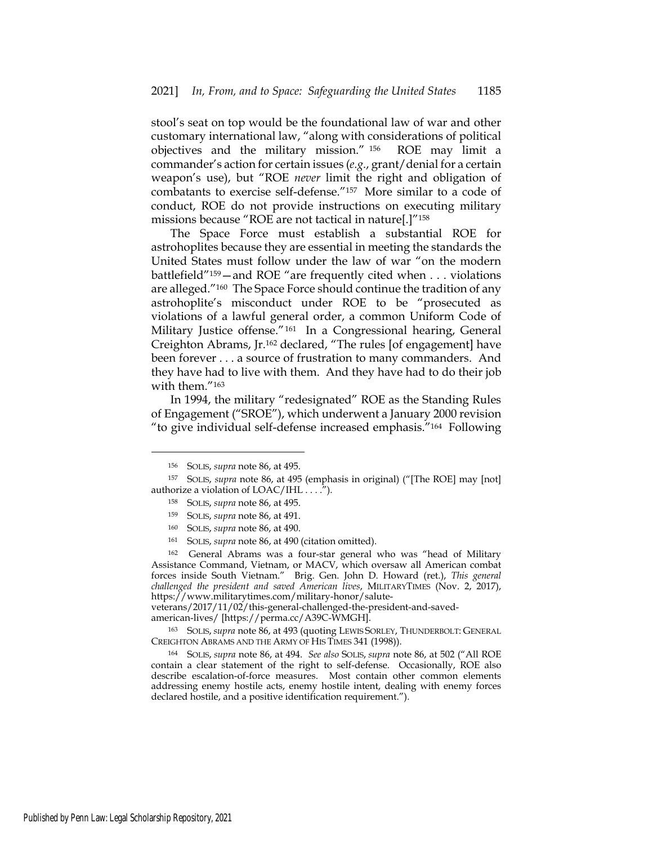stool's seat on top would be the foundational law of war and other customary international law, "along with considerations of political objectives and the military mission." 156 ROE may limit a commander's action for certain issues (*e.g.*, grant/denial for a certain weapon's use), but "ROE *never* limit the right and obligation of combatants to exercise self-defense."157 More similar to a code of conduct, ROE do not provide instructions on executing military missions because "ROE are not tactical in nature[.]"158

The Space Force must establish a substantial ROE for astrohoplites because they are essential in meeting the standards the United States must follow under the law of war "on the modern battlefield"159—and ROE "are frequently cited when . . . violations are alleged."160 The Space Force should continue the tradition of any astrohoplite's misconduct under ROE to be "prosecuted as violations of a lawful general order, a common Uniform Code of Military Justice offense."161 In a Congressional hearing, General Creighton Abrams, Jr.162 declared, "The rules [of engagement] have been forever . . . a source of frustration to many commanders. And they have had to live with them. And they have had to do their job with them."163

In 1994, the military "redesignated" ROE as the Standing Rules of Engagement ("SROE"), which underwent a January 2000 revision "to give individual self-defense increased emphasis."164 Following

<sup>159</sup> SOLIS, *supra* note 86, at 491.

<sup>161</sup> SOLIS, *supra* note 86, at 490 (citation omitted).

<sup>162</sup> General Abrams was a four-star general who was "head of Military Assistance Command, Vietnam, or MACV, which oversaw all American combat forces inside South Vietnam." Brig. Gen. John D. Howard (ret.), *This general challenged the president and saved American lives*, MILITARYTIMES (Nov. 2, 2017), https://www.militarytimes.com/military-honor/salute-

veterans/2017/11/02/this-general-challenged-the-president-and-saved-

american-lives/ [https://perma.cc/A39C-WMGH].

<sup>163</sup> SOLIS, *supra* note 86, at 493 (quoting LEWIS SORLEY, THUNDERBOLT: GENERAL CREIGHTON ABRAMS AND THE ARMY OF HIS TIMES 341 (1998)).

<sup>164</sup> SOLIS, *supra* note 86, at 494. *See also* SOLIS, *supra* note 86, at 502 ("All ROE contain a clear statement of the right to self-defense. Occasionally, ROE also describe escalation-of-force measures. Most contain other common elements addressing enemy hostile acts, enemy hostile intent, dealing with enemy forces declared hostile, and a positive identification requirement.").

<sup>156</sup> SOLIS, *supra* note 86, at 495.

<sup>157</sup> SOLIS, *supra* note 86, at 495 (emphasis in original) ("[The ROE] may [not] authorize a violation of  $LOAC/IIHL \ldots$ .").

<sup>158</sup> SOLIS, *supra* note 86, at 495.

<sup>160</sup> SOLIS, *supra* note 86, at 490.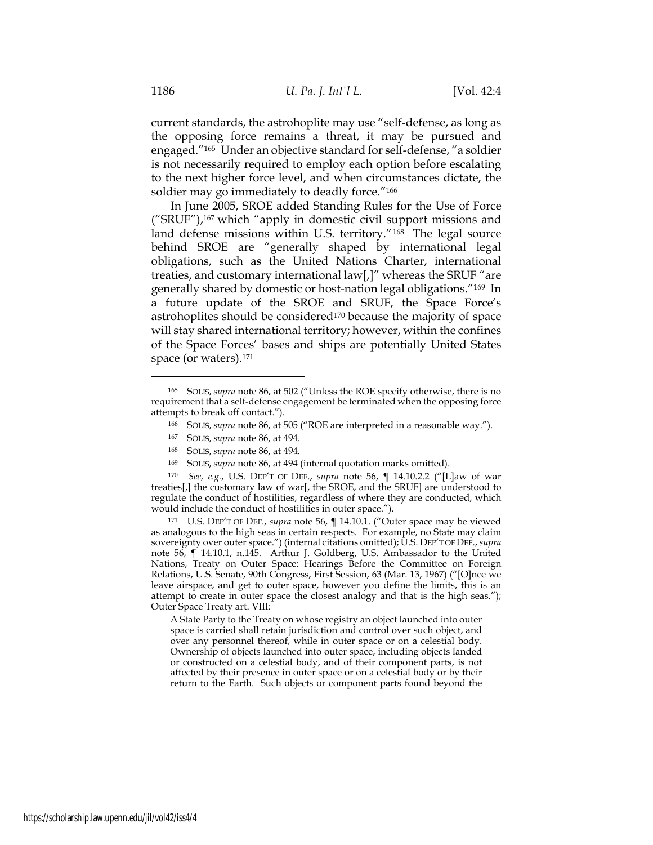current standards, the astrohoplite may use "self-defense, as long as the opposing force remains a threat, it may be pursued and engaged."165 Under an objective standard for self-defense, "a soldier is not necessarily required to employ each option before escalating to the next higher force level, and when circumstances dictate, the soldier may go immediately to deadly force."<sup>166</sup>

In June 2005, SROE added Standing Rules for the Use of Force ("SRUF"),167 which "apply in domestic civil support missions and land defense missions within U.S. territory."168 The legal source behind SROE are "generally shaped by international legal obligations, such as the United Nations Charter, international treaties, and customary international law[,]" whereas the SRUF "are generally shared by domestic or host-nation legal obligations."169 In a future update of the SROE and SRUF, the Space Force's astrohoplites should be considered<sup>170</sup> because the majority of space will stay shared international territory; however, within the confines of the Space Forces' bases and ships are potentially United States space (or waters).171

- <sup>166</sup> SOLIS, *supra* note 86, at 505 ("ROE are interpreted in a reasonable way.").
- <sup>167</sup> SOLIS, *supra* note 86, at 494.
- <sup>168</sup> SOLIS, *supra* note 86, at 494.
- <sup>169</sup> SOLIS, *supra* note 86, at 494 (internal quotation marks omitted).

<sup>170</sup> *See, e.g.*, U.S. DEP'T OF DEF., *supra* note 56, ¶ 14.10.2.2 ("[L]aw of war treaties[,] the customary law of war[, the SROE, and the SRUF] are understood to regulate the conduct of hostilities, regardless of where they are conducted, which would include the conduct of hostilities in outer space.").

<sup>171</sup> U.S. DEP'T OF DEF., *supra* note 56, ¶ 14.10.1. ("Outer space may be viewed as analogous to the high seas in certain respects. For example, no State may claim sovereignty over outer space.") (internal citations omitted); U.S. DEP'T OF DEF., *supra* note 56, ¶ 14.10.1, n.145. Arthur J. Goldberg, U.S. Ambassador to the United Nations, Treaty on Outer Space: Hearings Before the Committee on Foreign Relations, U.S. Senate, 90th Congress, First Session, 63 (Mar. 13, 1967) ("[O]nce we leave airspace, and get to outer space, however you define the limits, this is an attempt to create in outer space the closest analogy and that is the high seas."); Outer Space Treaty art. VIII:

A State Party to the Treaty on whose registry an object launched into outer space is carried shall retain jurisdiction and control over such object, and over any personnel thereof, while in outer space or on a celestial body. Ownership of objects launched into outer space, including objects landed or constructed on a celestial body, and of their component parts, is not affected by their presence in outer space or on a celestial body or by their return to the Earth. Such objects or component parts found beyond the

<sup>165</sup> SOLIS, *supra* note 86, at 502 ("Unless the ROE specify otherwise, there is no requirement that a self-defense engagement be terminated when the opposing force attempts to break off contact.").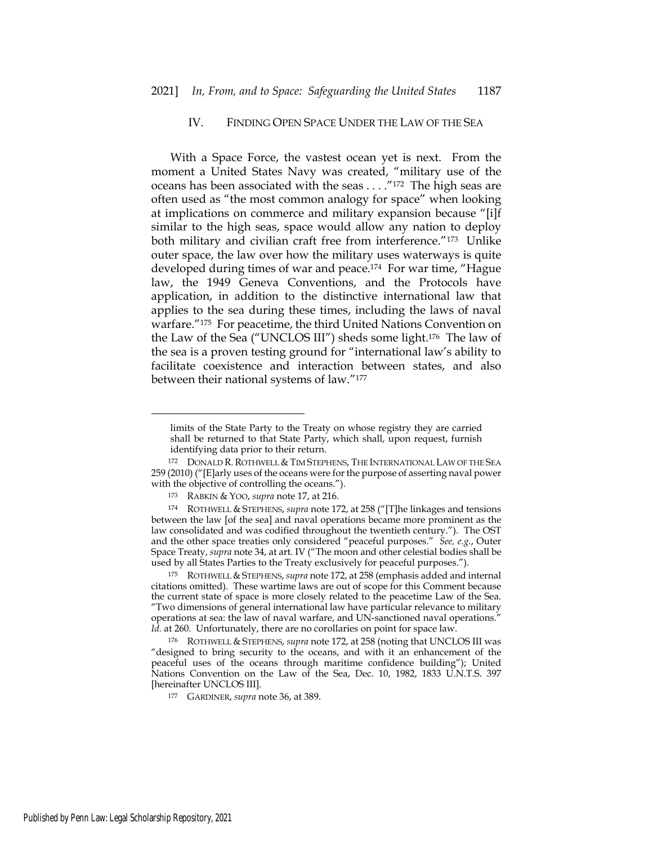# IV. FINDING OPEN SPACE UNDER THE LAW OF THE SEA

With a Space Force, the vastest ocean yet is next. From the moment a United States Navy was created, "military use of the oceans has been associated with the seas . . . ."172 The high seas are often used as "the most common analogy for space" when looking at implications on commerce and military expansion because "[i]f similar to the high seas, space would allow any nation to deploy both military and civilian craft free from interference."173 Unlike outer space, the law over how the military uses waterways is quite developed during times of war and peace.174 For war time, "Hague law, the 1949 Geneva Conventions, and the Protocols have application, in addition to the distinctive international law that applies to the sea during these times, including the laws of naval warfare."175 For peacetime, the third United Nations Convention on the Law of the Sea ("UNCLOS III") sheds some light.176 The law of the sea is a proven testing ground for "international law's ability to facilitate coexistence and interaction between states, and also between their national systems of law."177

limits of the State Party to the Treaty on whose registry they are carried shall be returned to that State Party, which shall, upon request, furnish identifying data prior to their return.

<sup>172</sup> DONALD R. ROTHWELL & TIM STEPHENS, THE INTERNATIONAL LAW OF THE SEA 259 (2010) ("[E]arly uses of the oceans were for the purpose of asserting naval power with the objective of controlling the oceans.").

<sup>173</sup> RABKIN & YOO, *supra* note 17, at 216.

<sup>174</sup> ROTHWELL & STEPHENS, *supra* note 172, at 258 ("[T]he linkages and tensions between the law [of the sea] and naval operations became more prominent as the law consolidated and was codified throughout the twentieth century."). The OST and the other space treaties only considered "peaceful purposes." *See, e.g.*, Outer Space Treaty, *supra* note 34, at art. IV ("The moon and other celestial bodies shall be used by all States Parties to the Treaty exclusively for peaceful purposes.").

<sup>175</sup> ROTHWELL &STEPHENS, *supra* note 172, at 258 (emphasis added and internal citations omitted). These wartime laws are out of scope for this Comment because the current state of space is more closely related to the peacetime Law of the Sea. "Two dimensions of general international law have particular relevance to military operations at sea: the law of naval warfare, and UN-sanctioned naval operations." Id. at 260. Unfortunately, there are no corollaries on point for space law.

<sup>176</sup> ROTHWELL & STEPHENS, *supra* note 172, at 258 (noting that UNCLOS III was "designed to bring security to the oceans, and with it an enhancement of the peaceful uses of the oceans through maritime confidence building"); United Nations Convention on the Law of the Sea, Dec. 10, 1982, 1833 U.N.T.S. 397 [hereinafter UNCLOS III].

<sup>177</sup> GARDINER, *supra* note 36, at 389.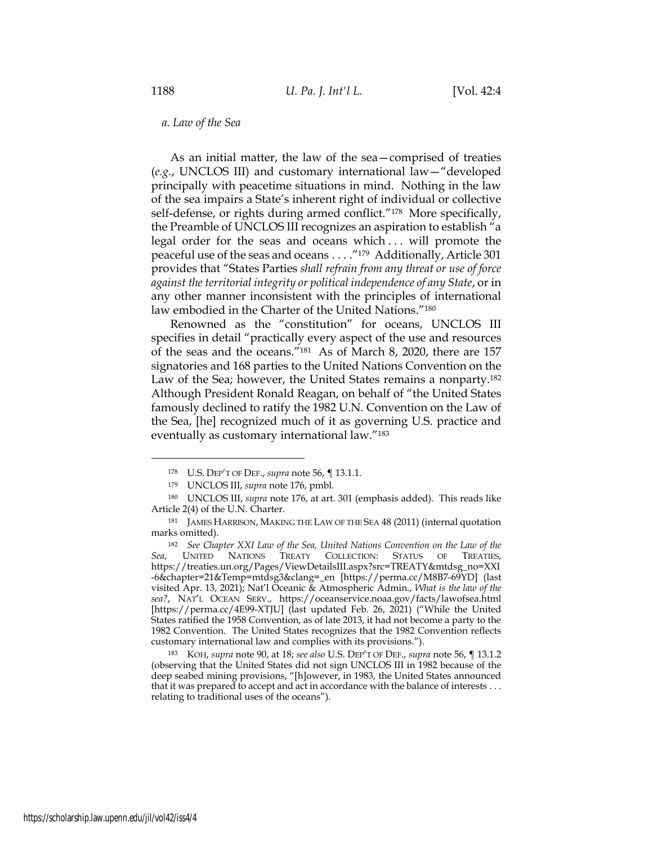#### *a. Law of the Sea*

As an initial matter, the law of the sea—comprised of treaties (*e.g.*, UNCLOS III) and customary international law—"developed principally with peacetime situations in mind. Nothing in the law of the sea impairs a State's inherent right of individual or collective self-defense, or rights during armed conflict."<sup>178</sup> More specifically, the Preamble of UNCLOS III recognizes an aspiration to establish "a legal order for the seas and oceans which . . . will promote the peaceful use of the seas and oceans . . . ."179 Additionally, Article 301 provides that "States Parties *shall refrain from any threat or use of force against the territorial integrity or political independence of any State*, or in any other manner inconsistent with the principles of international law embodied in the Charter of the United Nations."180

Renowned as the "constitution" for oceans, UNCLOS III specifies in detail "practically every aspect of the use and resources of the seas and the oceans."181 As of March 8, 2020, there are 157 signatories and 168 parties to the United Nations Convention on the Law of the Sea; however, the United States remains a nonparty.182 Although President Ronald Reagan, on behalf of "the United States famously declined to ratify the 1982 U.N. Convention on the Law of the Sea, [he] recognized much of it as governing U.S. practice and eventually as customary international law."183

<sup>178</sup> U.S. DEP'T OF DEF., *supra* note 56, ¶ 13.1.1.

<sup>179</sup> UNCLOS III, *supra* note 176, pmbl.

<sup>180</sup> UNCLOS III, *supra* note 176, at art. 301 (emphasis added). This reads like Article 2(4) of the U.N. Charter.

<sup>181</sup> JAMES HARRISON, MAKING THE LAW OF THE SEA 48 (2011) (internal quotation marks omitted).

<sup>182</sup> *See Chapter XXI Law of the Sea, United Nations Convention on the Law of the Sea*, UNITED NATIONS TREATY COLLECTION: STATUS OF TREATIES, https://treaties.un.org/Pages/ViewDetailsIII.aspx?src=TREATY&mtdsg\_no=XXI -6&chapter=21&Temp=mtdsg3&clang=\_en [https://perma.cc/M8B7-69YD] (last visited Apr. 13, 2021); Nat'l Oceanic & Atmospheric Admin., *What is the law of the sea?*, NAT'L OCEAN SERV., https://oceanservice.noaa.gov/facts/lawofsea.html [https://perma.cc/4E99-XTJU] (last updated Feb. 26, 2021) ("While the United States ratified the 1958 Convention, as of late 2013, it had not become a party to the 1982 Convention. The United States recognizes that the 1982 Convention reflects customary international law and complies with its provisions.").

<sup>183</sup> KOH, *supra* note 90, at 18; *see also* U.S. DEP'T OF DEF., *supra* note 56, ¶ 13.1.2 (observing that the United States did not sign UNCLOS III in 1982 because of the deep seabed mining provisions, "[h]owever, in 1983, the United States announced that it was prepared to accept and act in accordance with the balance of interests . . . relating to traditional uses of the oceans").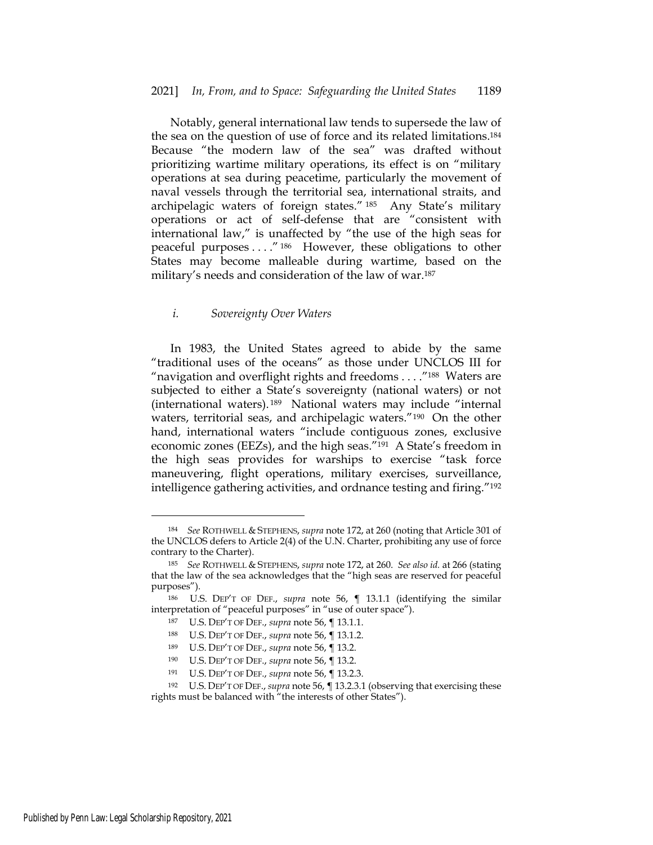Notably, general international law tends to supersede the law of the sea on the question of use of force and its related limitations.184 Because "the modern law of the sea" was drafted without prioritizing wartime military operations, its effect is on "military operations at sea during peacetime, particularly the movement of naval vessels through the territorial sea, international straits, and archipelagic waters of foreign states." 185 Any State's military operations or act of self-defense that are "consistent with international law," is unaffected by "the use of the high seas for peaceful purposes . . . ." 186 However, these obligations to other States may become malleable during wartime, based on the military's needs and consideration of the law of war.187

#### *i. Sovereignty Over Waters*

In 1983, the United States agreed to abide by the same "traditional uses of the oceans" as those under UNCLOS III for "navigation and overflight rights and freedoms . . . ."188 Waters are subjected to either a State's sovereignty (national waters) or not (international waters). 189 National waters may include "internal waters, territorial seas, and archipelagic waters."<sup>190</sup> On the other hand, international waters "include contiguous zones, exclusive economic zones (EEZs), and the high seas."191 A State's freedom in the high seas provides for warships to exercise "task force maneuvering, flight operations, military exercises, surveillance, intelligence gathering activities, and ordnance testing and firing."192

<sup>184</sup> *See* ROTHWELL & STEPHENS, *supra* note 172, at 260 (noting that Article 301 of the UNCLOS defers to Article 2(4) of the U.N. Charter, prohibiting any use of force contrary to the Charter).

<sup>185</sup> *See* ROTHWELL & STEPHENS, *supra* note 172, at 260. *See also id.* at 266 (stating that the law of the sea acknowledges that the "high seas are reserved for peaceful purposes").

<sup>186</sup> U.S. DEP'T OF DEF., *supra* note 56, ¶ 13.1.1 (identifying the similar interpretation of "peaceful purposes" in "use of outer space").

<sup>187</sup> U.S. DEP'T OF DEF., *supra* note 56, ¶ 13.1.1.

<sup>188</sup> U.S. DEP'T OF DEF., *supra* note 56, ¶ 13.1.2.

<sup>189</sup> U.S. DEP'T OF DEF., *supra* note 56, ¶ 13.2.

<sup>190</sup> U.S. DEP'T OF DEF., *supra* note 56, ¶ 13.2.

<sup>191</sup> U.S. DEP'T OF DEF., *supra* note 56, ¶ 13.2.3.

<sup>192</sup> U.S. DEP'T OF DEF., *supra* note 56, ¶ 13.2.3.1 (observing that exercising these rights must be balanced with "the interests of other States").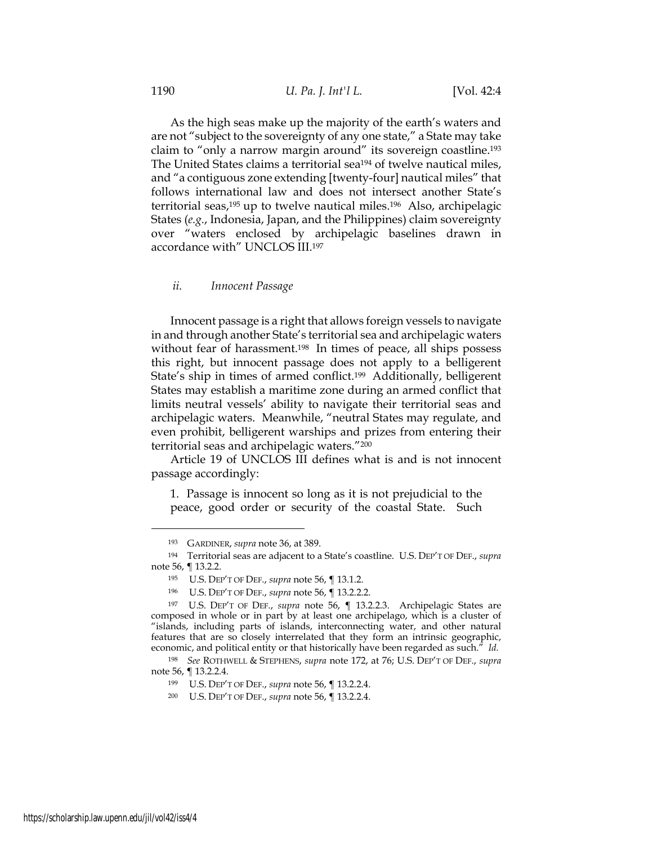As the high seas make up the majority of the earth's waters and are not "subject to the sovereignty of any one state," a State may take claim to "only a narrow margin around" its sovereign coastline.193 The United States claims a territorial sea<sup>194</sup> of twelve nautical miles, and "a contiguous zone extending [twenty-four] nautical miles" that follows international law and does not intersect another State's territorial seas,195 up to twelve nautical miles.196 Also, archipelagic States (*e.g.*, Indonesia, Japan, and the Philippines) claim sovereignty over "waters enclosed by archipelagic baselines drawn in accordance with" UNCLOS III.197

#### *ii. Innocent Passage*

Innocent passage is a right that allows foreign vessels to navigate in and through another State's territorial sea and archipelagic waters without fear of harassment.<sup>198</sup> In times of peace, all ships possess this right, but innocent passage does not apply to a belligerent State's ship in times of armed conflict.199 Additionally, belligerent States may establish a maritime zone during an armed conflict that limits neutral vessels' ability to navigate their territorial seas and archipelagic waters. Meanwhile, "neutral States may regulate, and even prohibit, belligerent warships and prizes from entering their territorial seas and archipelagic waters."200

Article 19 of UNCLOS III defines what is and is not innocent passage accordingly:

1. Passage is innocent so long as it is not prejudicial to the peace, good order or security of the coastal State. Such

<sup>193</sup> GARDINER, *supra* note 36, at 389.

<sup>194</sup> Territorial seas are adjacent to a State's coastline. U.S. DEP'T OF DEF., *supra* note 56, ¶ 13.2.2.

<sup>195</sup> U.S. DEP'T OF DEF., *supra* note 56, ¶ 13.1.2.

<sup>196</sup> U.S. DEP'T OF DEF., *supra* note 56, ¶ 13.2.2.2.

<sup>197</sup> U.S. DEP'T OF DEF., *supra* note 56, ¶ 13.2.2.3. Archipelagic States are composed in whole or in part by at least one archipelago, which is a cluster of "islands, including parts of islands, interconnecting water, and other natural features that are so closely interrelated that they form an intrinsic geographic, economic, and political entity or that historically have been regarded as such." *Id.*

<sup>198</sup> *See* ROTHWELL & STEPHENS, *supra* note 172, at 76; U.S. DEP'T OF DEF., *supra* note 56, ¶ 13.2.2.4.

<sup>199</sup> U.S. DEP'T OF DEF., *supra* note 56, ¶ 13.2.2.4.

<sup>200</sup> U.S. DEP'T OF DEF., *supra* note 56, ¶ 13.2.2.4.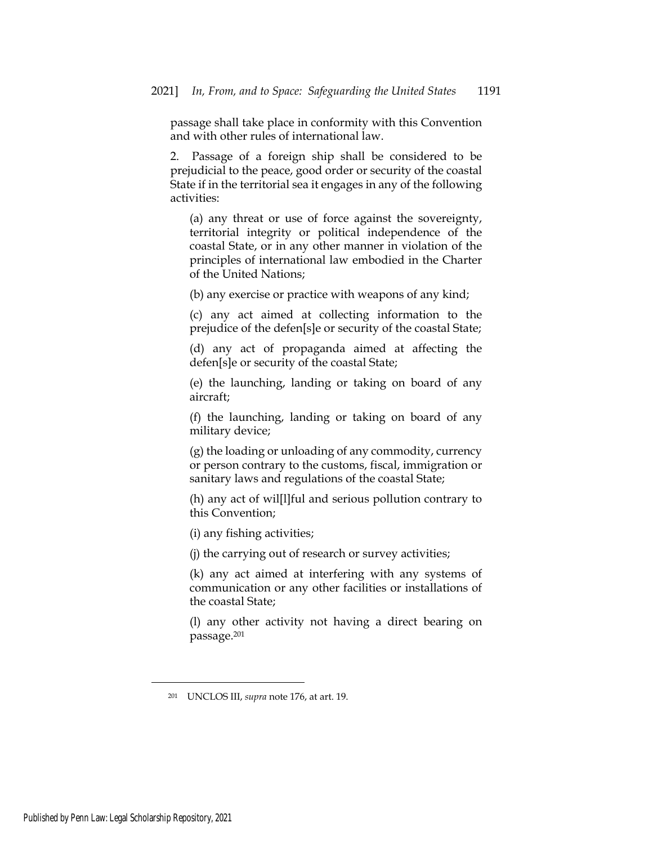passage shall take place in conformity with this Convention and with other rules of international law.

2. Passage of a foreign ship shall be considered to be prejudicial to the peace, good order or security of the coastal State if in the territorial sea it engages in any of the following activities:

(a) any threat or use of force against the sovereignty, territorial integrity or political independence of the coastal State, or in any other manner in violation of the principles of international law embodied in the Charter of the United Nations;

(b) any exercise or practice with weapons of any kind;

(c) any act aimed at collecting information to the prejudice of the defen[s]e or security of the coastal State;

(d) any act of propaganda aimed at affecting the defen[s]e or security of the coastal State;

(e) the launching, landing or taking on board of any aircraft;

(f) the launching, landing or taking on board of any military device;

(g) the loading or unloading of any commodity, currency or person contrary to the customs, fiscal, immigration or sanitary laws and regulations of the coastal State;

(h) any act of wil[l]ful and serious pollution contrary to this Convention;

(i) any fishing activities;

(j) the carrying out of research or survey activities;

(k) any act aimed at interfering with any systems of communication or any other facilities or installations of the coastal State;

(l) any other activity not having a direct bearing on passage.201

<sup>201</sup> UNCLOS III, *supra* note 176, at art. 19.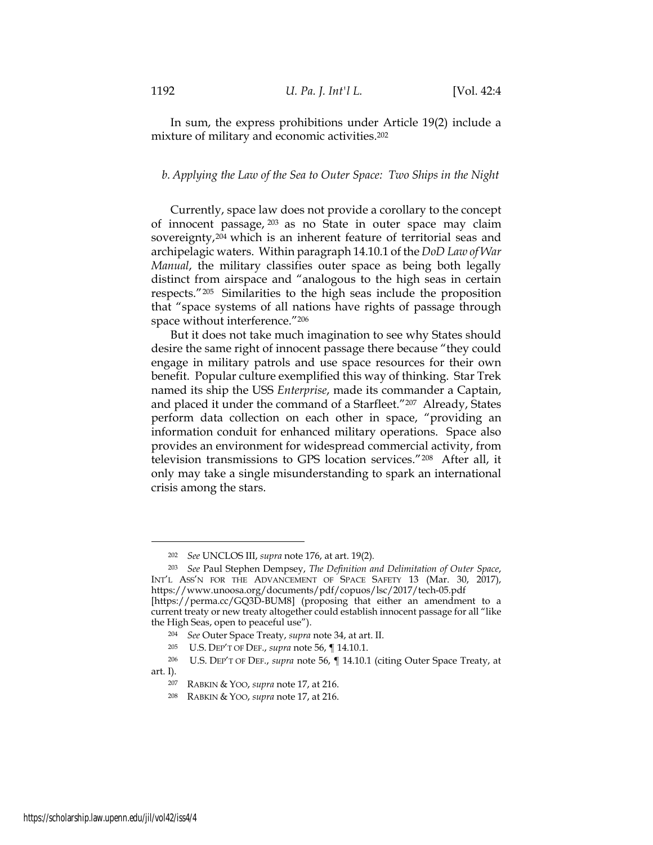In sum, the express prohibitions under Article 19(2) include a mixture of military and economic activities.202

## *b. Applying the Law of the Sea to Outer Space: Two Ships in the Night*

Currently, space law does not provide a corollary to the concept of innocent passage, 203 as no State in outer space may claim sovereignty,<sup>204</sup> which is an inherent feature of territorial seas and archipelagic waters. Within paragraph 14.10.1 of the *DoD Law of War Manual*, the military classifies outer space as being both legally distinct from airspace and "analogous to the high seas in certain respects."205 Similarities to the high seas include the proposition that "space systems of all nations have rights of passage through space without interference."206

But it does not take much imagination to see why States should desire the same right of innocent passage there because "they could engage in military patrols and use space resources for their own benefit. Popular culture exemplified this way of thinking. Star Trek named its ship the USS *Enterprise*, made its commander a Captain, and placed it under the command of a Starfleet."207 Already, States perform data collection on each other in space, "providing an information conduit for enhanced military operations. Space also provides an environment for widespread commercial activity, from television transmissions to GPS location services."208 After all, it only may take a single misunderstanding to spark an international crisis among the stars.

<sup>202</sup> *See* UNCLOS III, *supra* note 176, at art. 19(2)*.*

<sup>203</sup> *See* Paul Stephen Dempsey, *The Definition and Delimitation of Outer Space*, INT'L ASS'N FOR THE ADVANCEMENT OF SPACE SAFETY 13 (Mar. 30, 2017), https://www.unoosa.org/documents/pdf/copuos/lsc/2017/tech-05.pdf [https://perma.cc/GQ3D-BUM8] (proposing that either an amendment to a current treaty or new treaty altogether could establish innocent passage for all "like the High Seas, open to peaceful use").

<sup>204</sup> *See* Outer Space Treaty, *supra* note 34, at art. II.

<sup>205</sup> U.S. DEP'T OF DEF., *supra* note 56, ¶ 14.10.1.

<sup>206</sup> U.S. DEP'T OF DEF., *supra* note 56, ¶ 14.10.1 (citing Outer Space Treaty, at art. I).

<sup>207</sup> RABKIN & YOO, *supra* note 17, at 216.

<sup>208</sup> RABKIN & YOO, *supra* note 17, at 216.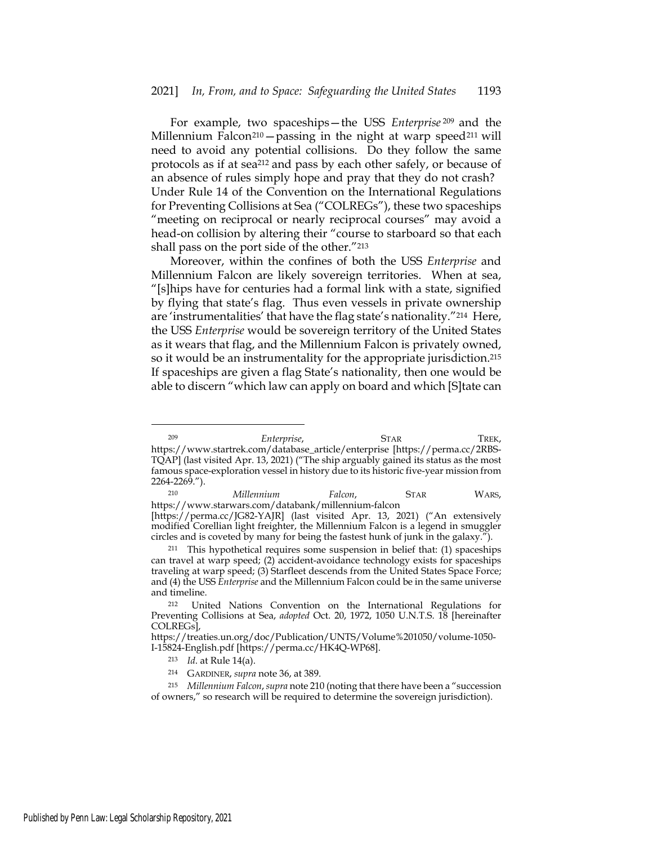For example, two spaceships—the USS *Enterprise* 209 and the Millennium Falcon<sup>210</sup> – passing in the night at warp speed<sup>211</sup> will need to avoid any potential collisions. Do they follow the same protocols as if at sea212 and pass by each other safely, or because of an absence of rules simply hope and pray that they do not crash? Under Rule 14 of the Convention on the International Regulations for Preventing Collisions at Sea ("COLREGs"), these two spaceships "meeting on reciprocal or nearly reciprocal courses" may avoid a head-on collision by altering their "course to starboard so that each shall pass on the port side of the other."213

Moreover, within the confines of both the USS *Enterprise* and Millennium Falcon are likely sovereign territories. When at sea, "[s]hips have for centuries had a formal link with a state, signified by flying that state's flag. Thus even vessels in private ownership are 'instrumentalities' that have the flag state's nationality."214 Here, the USS *Enterprise* would be sovereign territory of the United States as it wears that flag, and the Millennium Falcon is privately owned, so it would be an instrumentality for the appropriate jurisdiction.215 If spaceships are given a flag State's nationality, then one would be able to discern "which law can apply on board and which [S]tate can

<sup>210</sup> *Millennium Falcon*, STAR WARS, https://www.starwars.com/databank/millennium-falcon [https://perma.cc/JG82-YAJR] (last visited Apr. 13, 2021) ("An extensively modified Corellian light freighter, the Millennium Falcon is a legend in smuggler circles and is coveted by many for being the fastest hunk of junk in the galaxy.").

<sup>211</sup> This hypothetical requires some suspension in belief that: (1) spaceships can travel at warp speed; (2) accident-avoidance technology exists for spaceships traveling at warp speed; (3) Starfleet descends from the United States Space Force; and (4) the USS *Enterprise* and the Millennium Falcon could be in the same universe and timeline.

<sup>209</sup> *Enterprise*, STAR TREK, https://www.startrek.com/database\_article/enterprise [https://perma.cc/2RBS-TQAP] (last visited Apr. 13, 2021) ("The ship arguably gained its status as the most famous space-exploration vessel in history due to its historic five-year mission from 2264-2269.").

<sup>212</sup> United Nations Convention on the International Regulations for Preventing Collisions at Sea, *adopted* Oct. 20, 1972, 1050 U.N.T.S. 18 [hereinafter COLREGs],

https://treaties.un.org/doc/Publication/UNTS/Volume%201050/volume-1050- I-15824-English.pdf [https://perma.cc/HK4Q-WP68].

<sup>213</sup> *Id*. at Rule 14(a).

<sup>214</sup> GARDINER, *supra* note 36, at 389.

<sup>215</sup> *Millennium Falcon*, *supra* note 210 (noting that there have been a "succession of owners," so research will be required to determine the sovereign jurisdiction).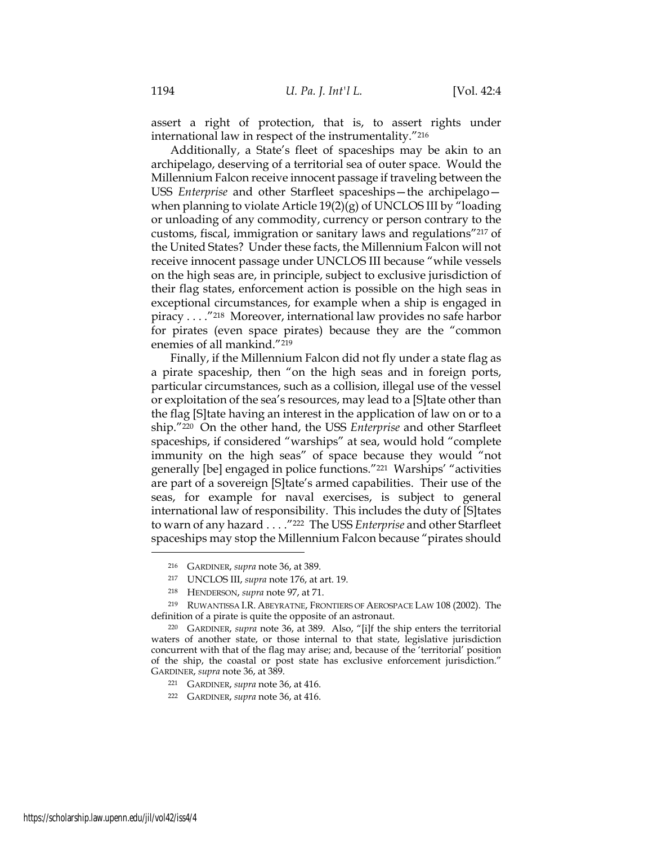assert a right of protection, that is, to assert rights under international law in respect of the instrumentality."216

Additionally, a State's fleet of spaceships may be akin to an archipelago, deserving of a territorial sea of outer space. Would the Millennium Falcon receive innocent passage if traveling between the USS *Enterprise* and other Starfleet spaceships—the archipelago when planning to violate Article  $19(2)(g)$  of UNCLOS III by "loading or unloading of any commodity, currency or person contrary to the customs, fiscal, immigration or sanitary laws and regulations"217 of the United States? Under these facts, the Millennium Falcon will not receive innocent passage under UNCLOS III because "while vessels on the high seas are, in principle, subject to exclusive jurisdiction of their flag states, enforcement action is possible on the high seas in exceptional circumstances, for example when a ship is engaged in piracy . . . ."218 Moreover, international law provides no safe harbor for pirates (even space pirates) because they are the "common enemies of all mankind."219

Finally, if the Millennium Falcon did not fly under a state flag as a pirate spaceship, then "on the high seas and in foreign ports, particular circumstances, such as a collision, illegal use of the vessel or exploitation of the sea's resources, may lead to a [S]tate other than the flag [S]tate having an interest in the application of law on or to a ship."220 On the other hand, the USS *Enterprise* and other Starfleet spaceships, if considered "warships" at sea, would hold "complete immunity on the high seas" of space because they would "not generally [be] engaged in police functions."221 Warships' "activities are part of a sovereign [S]tate's armed capabilities. Their use of the seas, for example for naval exercises, is subject to general international law of responsibility. This includes the duty of [S]tates to warn of any hazard . . . ."222 The USS *Enterprise* and other Starfleet spaceships may stop the Millennium Falcon because "pirates should

- <sup>217</sup> UNCLOS III, *supra* note 176, at art. 19.
- <sup>218</sup> HENDERSON, *supra* note 97, at 71.

- <sup>221</sup> GARDINER, *supra* note 36, at 416.
- <sup>222</sup> GARDINER, *supra* note 36, at 416.

<sup>216</sup> GARDINER, *supra* note 36, at 389.

<sup>219</sup> RUWANTISSA I.R. ABEYRATNE, FRONTIERS OF AEROSPACE LAW 108 (2002). The definition of a pirate is quite the opposite of an astronaut.

<sup>220</sup> GARDINER, *supra* note 36, at 389. Also, "[i]f the ship enters the territorial waters of another state, or those internal to that state, legislative jurisdiction concurrent with that of the flag may arise; and, because of the 'territorial' position of the ship, the coastal or post state has exclusive enforcement jurisdiction." GARDINER, *supra* note 36, at 389.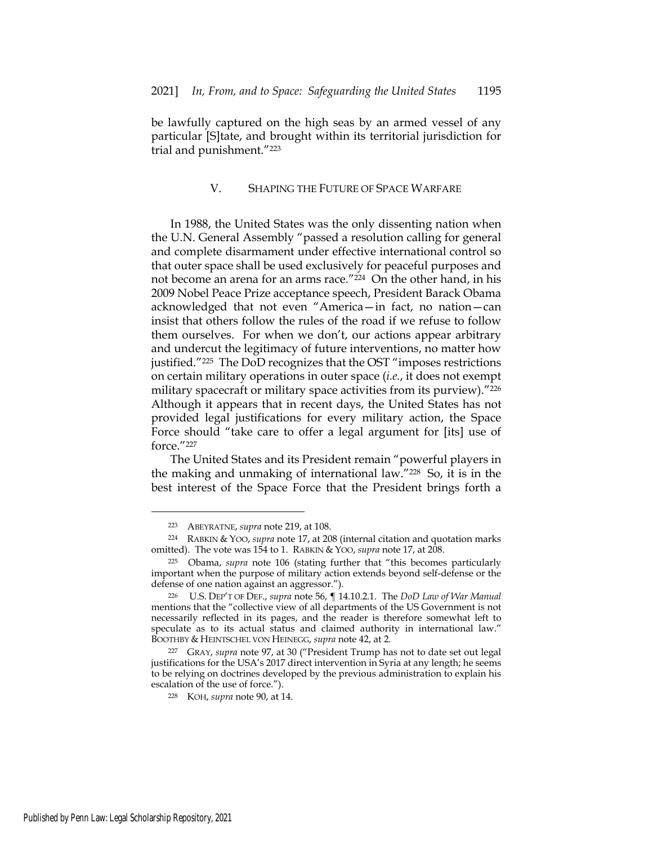be lawfully captured on the high seas by an armed vessel of any particular [S]tate, and brought within its territorial jurisdiction for trial and punishment."223

## V. SHAPING THE FUTURE OF SPACE WARFARE

In 1988, the United States was the only dissenting nation when the U.N. General Assembly "passed a resolution calling for general and complete disarmament under effective international control so that outer space shall be used exclusively for peaceful purposes and not become an arena for an arms race."224 On the other hand, in his 2009 Nobel Peace Prize acceptance speech, President Barack Obama acknowledged that not even "America—in fact, no nation—can insist that others follow the rules of the road if we refuse to follow them ourselves. For when we don't, our actions appear arbitrary and undercut the legitimacy of future interventions, no matter how justified."225 The DoD recognizes that the OST "imposes restrictions on certain military operations in outer space (*i.e.*, it does not exempt military spacecraft or military space activities from its purview)."226 Although it appears that in recent days, the United States has not provided legal justifications for every military action, the Space Force should "take care to offer a legal argument for [its] use of force."227

The United States and its President remain "powerful players in the making and unmaking of international law."228 So, it is in the best interest of the Space Force that the President brings forth a

<sup>223</sup> ABEYRATNE, *supra* note 219, at 108.

<sup>224</sup> RABKIN & YOO, *supra* note 17, at 208 (internal citation and quotation marks omitted). The vote was 154 to 1. RABKIN & YOO, *supra* note 17, at 208.

<sup>225</sup> Obama, *supra* note 106 (stating further that "this becomes particularly important when the purpose of military action extends beyond self-defense or the defense of one nation against an aggressor.").

<sup>226</sup> U.S. DEP'T OF DEF., *supra* note 56, ¶ 14.10.2.1. The *DoD Law of War Manual* mentions that the "collective view of all departments of the US Government is not necessarily reflected in its pages, and the reader is therefore somewhat left to speculate as to its actual status and claimed authority in international law." BOOTHBY & HEINTSCHEL VON HEINEGG, *supra* note 42, at 2.

<sup>227</sup> GRAY, *supra* note 97, at 30 ("President Trump has not to date set out legal justifications for the USA's 2017 direct intervention in Syria at any length; he seems to be relying on doctrines developed by the previous administration to explain his escalation of the use of force.").

<sup>228</sup> KOH, *supra* note 90, at 14.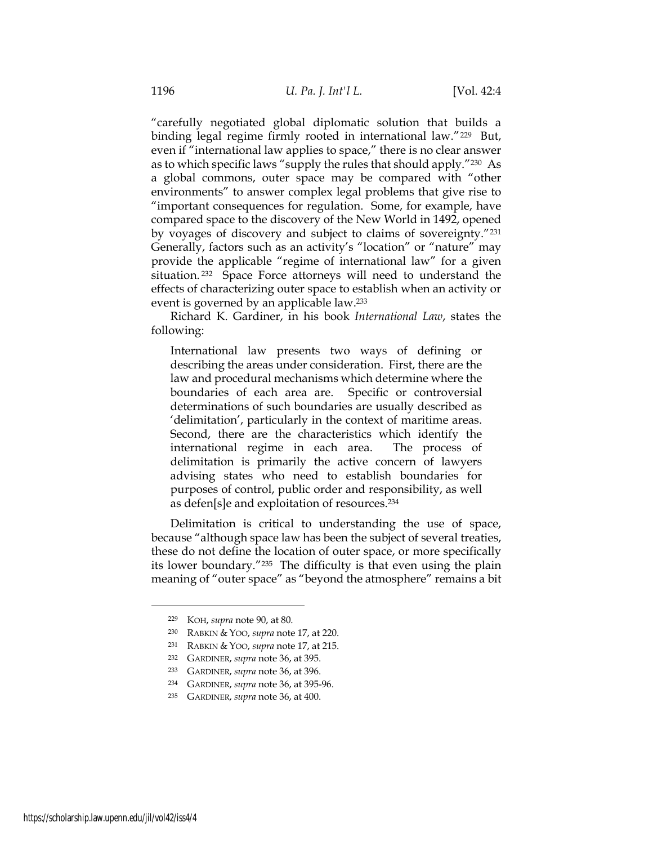"carefully negotiated global diplomatic solution that builds a binding legal regime firmly rooted in international law."<sup>229</sup> But, even if "international law applies to space," there is no clear answer as to which specific laws "supply the rules that should apply."230 As a global commons, outer space may be compared with "other environments" to answer complex legal problems that give rise to "important consequences for regulation. Some, for example, have compared space to the discovery of the New World in 1492, opened by voyages of discovery and subject to claims of sovereignty."231 Generally, factors such as an activity's "location" or "nature" may provide the applicable "regime of international law" for a given situation.<sup>232</sup> Space Force attorneys will need to understand the effects of characterizing outer space to establish when an activity or event is governed by an applicable law.233

Richard K. Gardiner, in his book *International Law*, states the following:

International law presents two ways of defining or describing the areas under consideration. First, there are the law and procedural mechanisms which determine where the boundaries of each area are. Specific or controversial determinations of such boundaries are usually described as 'delimitation', particularly in the context of maritime areas. Second, there are the characteristics which identify the international regime in each area. The process of delimitation is primarily the active concern of lawyers advising states who need to establish boundaries for purposes of control, public order and responsibility, as well as defen[s]e and exploitation of resources.234

Delimitation is critical to understanding the use of space, because "although space law has been the subject of several treaties, these do not define the location of outer space, or more specifically its lower boundary."235 The difficulty is that even using the plain meaning of "outer space" as "beyond the atmosphere" remains a bit

<sup>229</sup> KOH, *supra* note 90, at 80.

<sup>230</sup> RABKIN & YOO, *supra* note 17, at 220.

<sup>231</sup> RABKIN & YOO, *supra* note 17, at 215.

<sup>232</sup> GARDINER, *supra* note 36, at 395.

<sup>233</sup> GARDINER, *supra* note 36, at 396.

<sup>234</sup> GARDINER, *supra* note 36, at 395-96.

<sup>235</sup> GARDINER, *supra* note 36, at 400.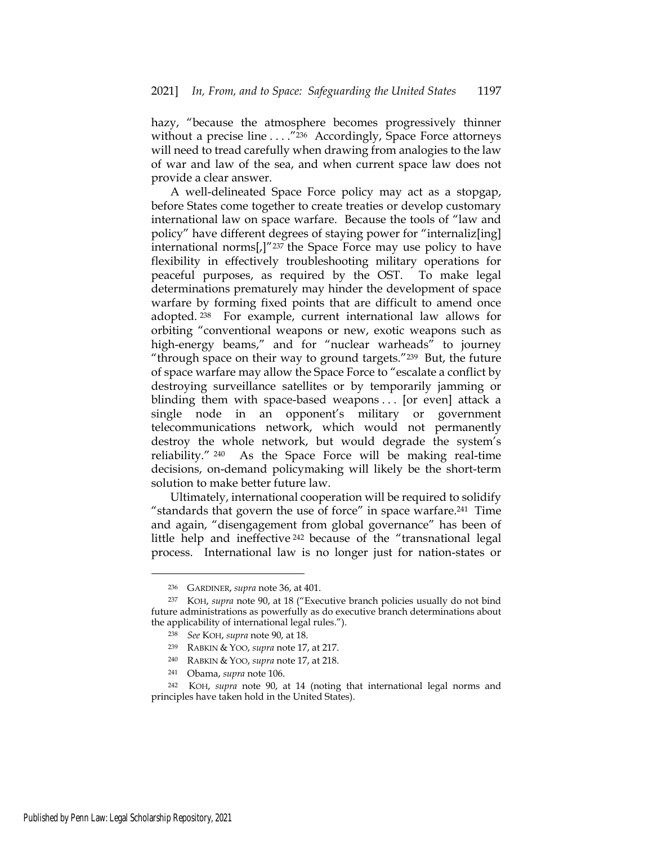hazy, "because the atmosphere becomes progressively thinner without a precise line . . . . "236 Accordingly, Space Force attorneys will need to tread carefully when drawing from analogies to the law of war and law of the sea, and when current space law does not provide a clear answer.

A well-delineated Space Force policy may act as a stopgap, before States come together to create treaties or develop customary international law on space warfare. Because the tools of "law and policy" have different degrees of staying power for "internaliz[ing] international norms[,]"237 the Space Force may use policy to have flexibility in effectively troubleshooting military operations for peaceful purposes, as required by the OST. To make legal determinations prematurely may hinder the development of space warfare by forming fixed points that are difficult to amend once adopted. 238 For example, current international law allows for orbiting "conventional weapons or new, exotic weapons such as high-energy beams," and for "nuclear warheads" to journey "through space on their way to ground targets."239 But, the future of space warfare may allow the Space Force to "escalate a conflict by destroying surveillance satellites or by temporarily jamming or blinding them with space-based weapons . . . [or even] attack a single node in an opponent's military or government telecommunications network, which would not permanently destroy the whole network, but would degrade the system's reliability." 240 As the Space Force will be making real-time decisions, on-demand policymaking will likely be the short-term solution to make better future law.

Ultimately, international cooperation will be required to solidify "standards that govern the use of force" in space warfare.241 Time and again, "disengagement from global governance" has been of little help and ineffective 242 because of the "transnational legal process. International law is no longer just for nation-states or

<sup>236</sup> GARDINER, *supra* note 36, at 401.

<sup>237</sup> KOH, *supra* note 90, at 18 ("Executive branch policies usually do not bind future administrations as powerfully as do executive branch determinations about the applicability of international legal rules.").

<sup>238</sup> *See* KOH, *supra* note 90, at 18.

<sup>239</sup> RABKIN & YOO, *supra* note 17, at 217.

<sup>240</sup> RABKIN & YOO, *supra* note 17, at 218.

<sup>241</sup> Obama, *supra* note 106.

<sup>242</sup> KOH, *supra* note 90, at 14 (noting that international legal norms and principles have taken hold in the United States).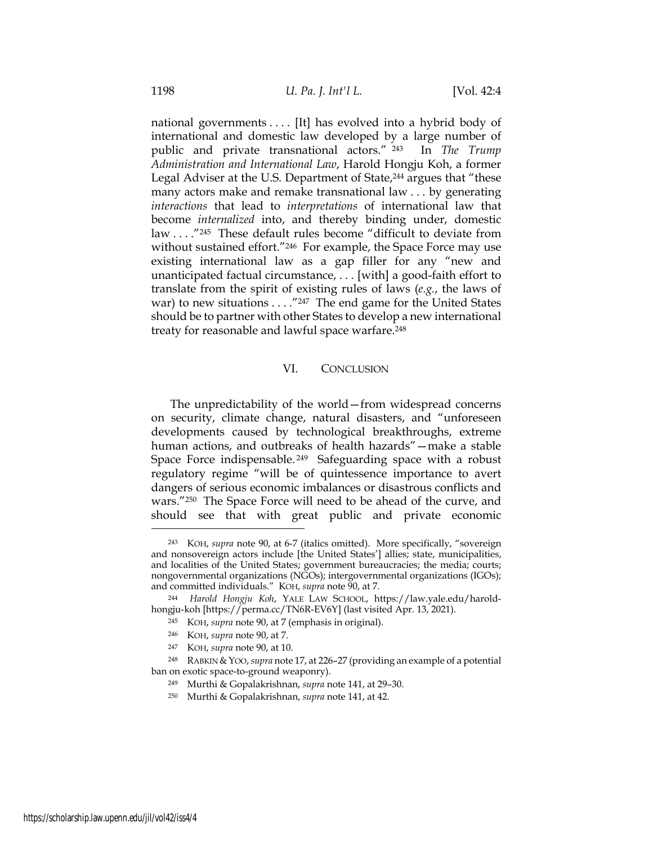national governments . . . . [It] has evolved into a hybrid body of international and domestic law developed by a large number of public and private transnational actors." 243 In *The Trump Administration and International Law*, Harold Hongju Koh, a former Legal Adviser at the U.S. Department of State,244 argues that "these many actors make and remake transnational law . . . by generating *interactions* that lead to *interpretations* of international law that become *internalized* into, and thereby binding under, domestic law . . . ."245 These default rules become "difficult to deviate from without sustained effort."246 For example, the Space Force may use existing international law as a gap filler for any "new and unanticipated factual circumstance, . . . [with] a good-faith effort to translate from the spirit of existing rules of laws (*e.g.*, the laws of war) to new situations . . . . "247 The end game for the United States should be to partner with other States to develop a new international treaty for reasonable and lawful space warfare.<sup>248</sup>

## VI. CONCLUSION

The unpredictability of the world—from widespread concerns on security, climate change, natural disasters, and "unforeseen developments caused by technological breakthroughs, extreme human actions, and outbreaks of health hazards"—make a stable Space Force indispensable. 249 Safeguarding space with a robust regulatory regime "will be of quintessence importance to avert dangers of serious economic imbalances or disastrous conflicts and wars."250 The Space Force will need to be ahead of the curve, and should see that with great public and private economic

<sup>243</sup> KOH, *supra* note 90, at 6-7 (italics omitted). More specifically, "sovereign and nonsovereign actors include [the United States'] allies; state, municipalities, and localities of the United States; government bureaucracies; the media; courts; nongovernmental organizations (NGOs); intergovernmental organizations (IGOs); and committed individuals." KOH, *supra* note 90, at 7.

<sup>244</sup> *Harold Hongju Koh*, YALE LAW SCHOOL, https://law.yale.edu/haroldhongju-koh [https://perma.cc/TN6R-EV6Y] (last visited Apr. 13, 2021).

<sup>245</sup> KOH, *supra* note 90, at 7 (emphasis in original).

<sup>246</sup> KOH, *supra* note 90, at 7.

<sup>247</sup> KOH, *supra* note 90, at 10.

<sup>248</sup> RABKIN &YOO, *supra* note 17, at 226–27 (providing an example of a potential ban on exotic space-to-ground weaponry).

<sup>249</sup> Murthi & Gopalakrishnan, *supra* note 141, at 29–30.

<sup>250</sup> Murthi & Gopalakrishnan, *supra* note 141, at 42.